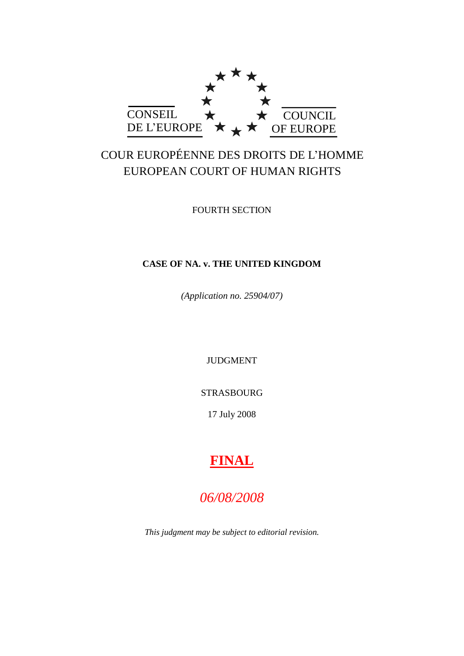

# COUR EUROPÉENNE DES DROITS DE L"HOMME EUROPEAN COURT OF HUMAN RIGHTS

FOURTH SECTION

# **CASE OF NA. v. THE UNITED KINGDOM**

*(Application no. 25904/07)*

JUDGMENT

STRASBOURG

17 July 2008

# **FINAL**

# *06/08/2008*

*This judgment may be subject to editorial revision.*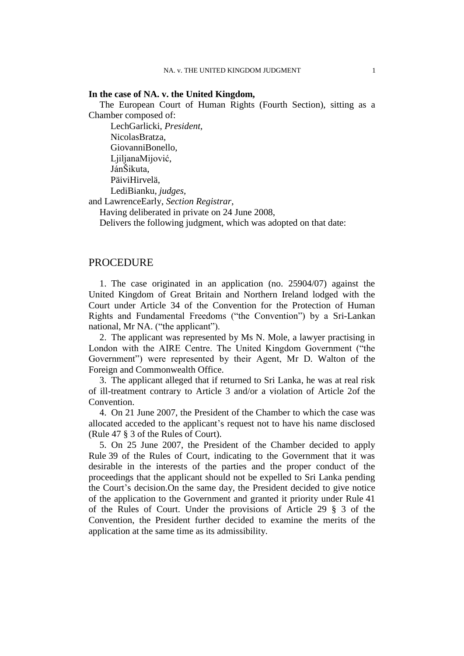## **In the case of NA. v. the United Kingdom,**

The European Court of Human Rights (Fourth Section), sitting as a Chamber composed of:

LechGarlicki, *President,* NicolasBratza, GiovanniBonello, LjiljanaMijović, JánŠikuta, PäiviHirvelä, LediBianku, *judges,*

and LawrenceEarly, *Section Registrar*,

Having deliberated in private on 24 June 2008,

Delivers the following judgment, which was adopted on that date:

## PROCEDURE

1. The case originated in an application (no. 25904/07) against the United Kingdom of Great Britain and Northern Ireland lodged with the Court under Article 34 of the Convention for the Protection of Human Rights and Fundamental Freedoms ("the Convention") by a Sri-Lankan national, Mr NA. ("the applicant").

2. The applicant was represented by Ms N. Mole, a lawyer practising in London with the AIRE Centre. The United Kingdom Government ("the Government") were represented by their Agent, Mr D. Walton of the Foreign and Commonwealth Office.

3. The applicant alleged that if returned to Sri Lanka, he was at real risk of ill-treatment contrary to Article 3 and/or a violation of Article 2of the Convention.

4. On 21 June 2007, the President of the Chamber to which the case was allocated acceded to the applicant"s request not to have his name disclosed (Rule 47 § 3 of the Rules of Court).

<span id="page-2-0"></span>5. On 25 June 2007, the President of the Chamber decided to apply Rule 39 of the Rules of Court, indicating to the Government that it was desirable in the interests of the parties and the proper conduct of the proceedings that the applicant should not be expelled to Sri Lanka pending the Court's decision. On the same day, the President decided to give notice of the application to the Government and granted it priority under Rule 41 of the Rules of Court. Under the provisions of Article 29 § 3 of the Convention, the President further decided to examine the merits of the application at the same time as its admissibility.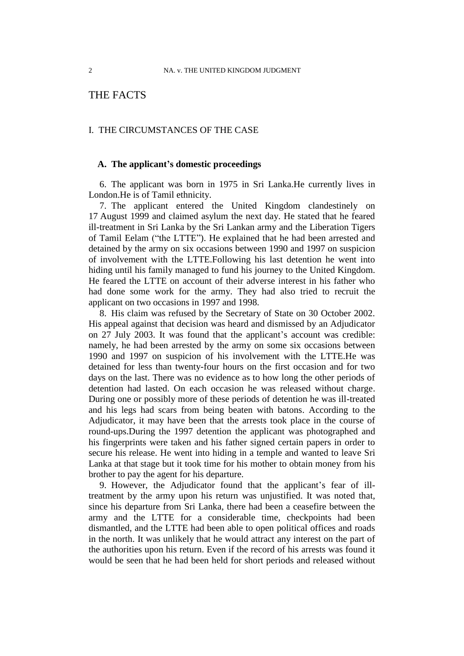# THE FACTS

## I. THE CIRCUMSTANCES OF THE CASE

#### **A. The applicant's domestic proceedings**

6. The applicant was born in 1975 in Sri Lanka.He currently lives in London.He is of Tamil ethnicity.

7. The applicant entered the United Kingdom clandestinely on 17 August 1999 and claimed asylum the next day. He stated that he feared ill-treatment in Sri Lanka by the Sri Lankan army and the Liberation Tigers of Tamil Eelam ("the LTTE"). He explained that he had been arrested and detained by the army on six occasions between 1990 and 1997 on suspicion of involvement with the LTTE.Following his last detention he went into hiding until his family managed to fund his journey to the United Kingdom. He feared the LTTE on account of their adverse interest in his father who had done some work for the army. They had also tried to recruit the applicant on two occasions in 1997 and 1998.

<span id="page-3-0"></span>8. His claim was refused by the Secretary of State on 30 October 2002. His appeal against that decision was heard and dismissed by an Adjudicator on 27 July 2003. It was found that the applicant's account was credible: namely, he had been arrested by the army on some six occasions between 1990 and 1997 on suspicion of his involvement with the LTTE.He was detained for less than twenty-four hours on the first occasion and for two days on the last. There was no evidence as to how long the other periods of detention had lasted. On each occasion he was released without charge. During one or possibly more of these periods of detention he was ill-treated and his legs had scars from being beaten with batons. According to the Adjudicator, it may have been that the arrests took place in the course of round-ups.During the 1997 detention the applicant was photographed and his fingerprints were taken and his father signed certain papers in order to secure his release. He went into hiding in a temple and wanted to leave Sri Lanka at that stage but it took time for his mother to obtain money from his brother to pay the agent for his departure.

<span id="page-3-1"></span>9. However, the Adjudicator found that the applicant"s fear of illtreatment by the army upon his return was unjustified. It was noted that, since his departure from Sri Lanka, there had been a ceasefire between the army and the LTTE for a considerable time, checkpoints had been dismantled, and the LTTE had been able to open political offices and roads in the north. It was unlikely that he would attract any interest on the part of the authorities upon his return. Even if the record of his arrests was found it would be seen that he had been held for short periods and released without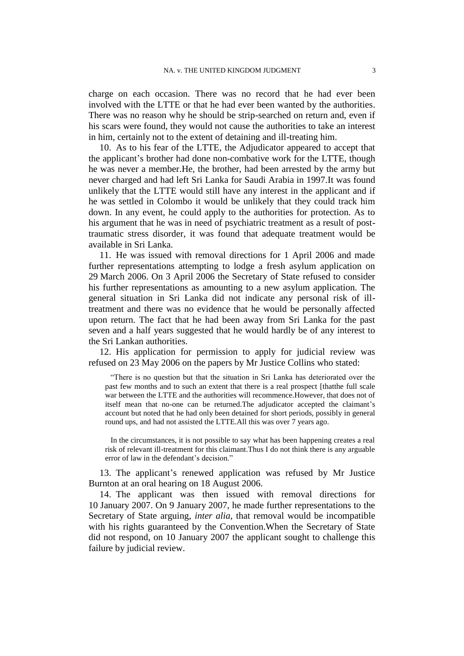charge on each occasion. There was no record that he had ever been involved with the LTTE or that he had ever been wanted by the authorities. There was no reason why he should be strip-searched on return and, even if his scars were found, they would not cause the authorities to take an interest in him, certainly not to the extent of detaining and ill-treating him.

<span id="page-4-0"></span>10. As to his fear of the LTTE, the Adjudicator appeared to accept that the applicant"s brother had done non-combative work for the LTTE, though he was never a member.He, the brother, had been arrested by the army but never charged and had left Sri Lanka for Saudi Arabia in 1997.It was found unlikely that the LTTE would still have any interest in the applicant and if he was settled in Colombo it would be unlikely that they could track him down. In any event, he could apply to the authorities for protection. As to his argument that he was in need of psychiatric treatment as a result of posttraumatic stress disorder, it was found that adequate treatment would be available in Sri Lanka.

11. He was issued with removal directions for 1 April 2006 and made further representations attempting to lodge a fresh asylum application on 29 March 2006. On 3 April 2006 the Secretary of State refused to consider his further representations as amounting to a new asylum application. The general situation in Sri Lanka did not indicate any personal risk of illtreatment and there was no evidence that he would be personally affected upon return. The fact that he had been away from Sri Lanka for the past seven and a half years suggested that he would hardly be of any interest to the Sri Lankan authorities.

12. His application for permission to apply for judicial review was refused on 23 May 2006 on the papers by Mr Justice Collins who stated:

"There is no question but that the situation in Sri Lanka has deteriorated over the past few months and to such an extent that there is a real prospect [thatthe full scale war between the LTTE and the authorities will recommence.However, that does not of itself mean that no-one can be returned. The adjudicator accepted the claimant's account but noted that he had only been detained for short periods, possibly in general round ups, and had not assisted the LTTE.All this was over 7 years ago.

In the circumstances, it is not possible to say what has been happening creates a real risk of relevant ill-treatment for this claimant.Thus I do not think there is any arguable error of law in the defendant's decision."

13. The applicant"s renewed application was refused by Mr Justice Burnton at an oral hearing on 18 August 2006.

14. The applicant was then issued with removal directions for 10 January 2007. On 9 January 2007, he made further representations to the Secretary of State arguing, *inter alia*, that removal would be incompatible with his rights guaranteed by the Convention.When the Secretary of State did not respond, on 10 January 2007 the applicant sought to challenge this failure by judicial review.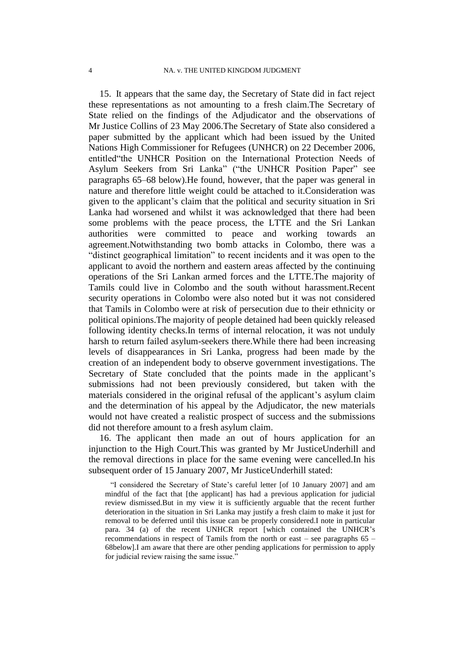<span id="page-5-0"></span>15. It appears that the same day, the Secretary of State did in fact reject these representations as not amounting to a fresh claim.The Secretary of State relied on the findings of the Adjudicator and the observations of Mr Justice Collins of 23 May 2006.The Secretary of State also considered a paper submitted by the applicant which had been issued by the United Nations High Commissioner for Refugees (UNHCR) on 22 December 2006, entitled"the UNHCR Position on the International Protection Needs of Asylum Seekers from Sri Lanka" ("the UNHCR Position Paper" see paragraphs [65–](#page-26-0)[68](#page-27-0) below).He found, however, that the paper was general in nature and therefore little weight could be attached to it.Consideration was given to the applicant"s claim that the political and security situation in Sri Lanka had worsened and whilst it was acknowledged that there had been some problems with the peace process, the LTTE and the Sri Lankan authorities were committed to peace and working towards an agreement.Notwithstanding two bomb attacks in Colombo, there was a "distinct geographical limitation" to recent incidents and it was open to the applicant to avoid the northern and eastern areas affected by the continuing operations of the Sri Lankan armed forces and the LTTE.The majority of Tamils could live in Colombo and the south without harassment.Recent security operations in Colombo were also noted but it was not considered that Tamils in Colombo were at risk of persecution due to their ethnicity or political opinions.The majority of people detained had been quickly released following identity checks.In terms of internal relocation, it was not unduly harsh to return failed asylum-seekers there.While there had been increasing levels of disappearances in Sri Lanka, progress had been made by the creation of an independent body to observe government investigations. The Secretary of State concluded that the points made in the applicant's submissions had not been previously considered, but taken with the materials considered in the original refusal of the applicant's asylum claim and the determination of his appeal by the Adjudicator, the new materials would not have created a realistic prospect of success and the submissions did not therefore amount to a fresh asylum claim.

16. The applicant then made an out of hours application for an injunction to the High Court.This was granted by Mr JusticeUnderhill and the removal directions in place for the same evening were cancelled.In his subsequent order of 15 January 2007, Mr JusticeUnderhill stated:

"I considered the Secretary of State"s careful letter [of 10 January 2007] and am mindful of the fact that [the applicant] has had a previous application for judicial review dismissed.But in my view it is sufficiently arguable that the recent further deterioration in the situation in Sri Lanka may justify a fresh claim to make it just for removal to be deferred until this issue can be properly considered.I note in particular para. 34 (a) of the recent UNHCR report [which contained the UNHCR"s recommendations in respect of Tamils from the north or east – see paragraphs [65](#page-26-0) – [68b](#page-27-0)elow].I am aware that there are other pending applications for permission to apply for judicial review raising the same issue."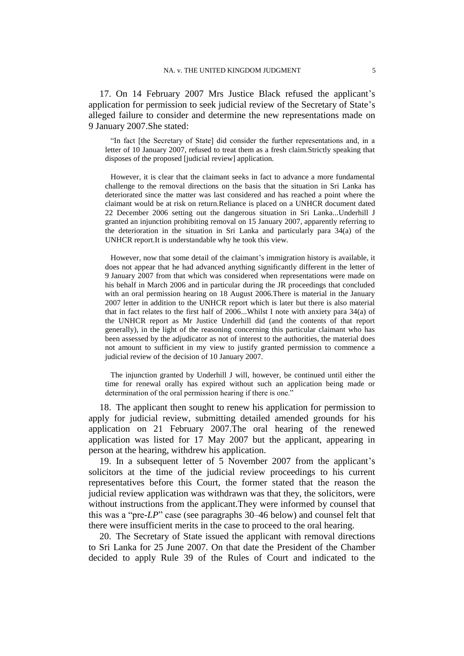17. On 14 February 2007 Mrs Justice Black refused the applicant"s application for permission to seek judicial review of the Secretary of State"s alleged failure to consider and determine the new representations made on 9 January 2007.She stated:

"In fact [the Secretary of State] did consider the further representations and, in a letter of 10 January 2007, refused to treat them as a fresh claim.Strictly speaking that disposes of the proposed [judicial review] application.

However, it is clear that the claimant seeks in fact to advance a more fundamental challenge to the removal directions on the basis that the situation in Sri Lanka has deteriorated since the matter was last considered and has reached a point where the claimant would be at risk on return.Reliance is placed on a UNHCR document dated 22 December 2006 setting out the dangerous situation in Sri Lanka...Underhill J granted an injunction prohibiting removal on 15 January 2007, apparently referring to the deterioration in the situation in Sri Lanka and particularly para 34(a) of the UNHCR report.It is understandable why he took this view.

However, now that some detail of the claimant"s immigration history is available, it does not appear that he had advanced anything significantly different in the letter of 9 January 2007 from that which was considered when representations were made on his behalf in March 2006 and in particular during the JR proceedings that concluded with an oral permission hearing on 18 August 2006.There is material in the January 2007 letter in addition to the UNHCR report which is later but there is also material that in fact relates to the first half of  $2006...$  Whilst I note with anxiety para  $34(a)$  of the UNHCR report as Mr Justice Underhill did (and the contents of that report generally), in the light of the reasoning concerning this particular claimant who has been assessed by the adjudicator as not of interest to the authorities, the material does not amount to sufficient in my view to justify granted permission to commence a judicial review of the decision of 10 January 2007.

The injunction granted by Underhill J will, however, be continued until either the time for renewal orally has expired without such an application being made or determination of the oral permission hearing if there is one."

18. The applicant then sought to renew his application for permission to apply for judicial review, submitting detailed amended grounds for his application on 21 February 2007.The oral hearing of the renewed application was listed for 17 May 2007 but the applicant, appearing in person at the hearing, withdrew his application.

<span id="page-6-0"></span>19. In a subsequent letter of 5 November 2007 from the applicant"s solicitors at the time of the judicial review proceedings to his current representatives before this Court, the former stated that the reason the judicial review application was withdrawn was that they, the solicitors, were without instructions from the applicant.They were informed by counsel that this was a "pre-*LP*" case (see paragraphs [30](#page-10-0)[–46](#page-16-0) below) and counsel felt that there were insufficient merits in the case to proceed to the oral hearing.

20. The Secretary of State issued the applicant with removal directions to Sri Lanka for 25 June 2007. On that date the President of the Chamber decided to apply Rule 39 of the Rules of Court and indicated to the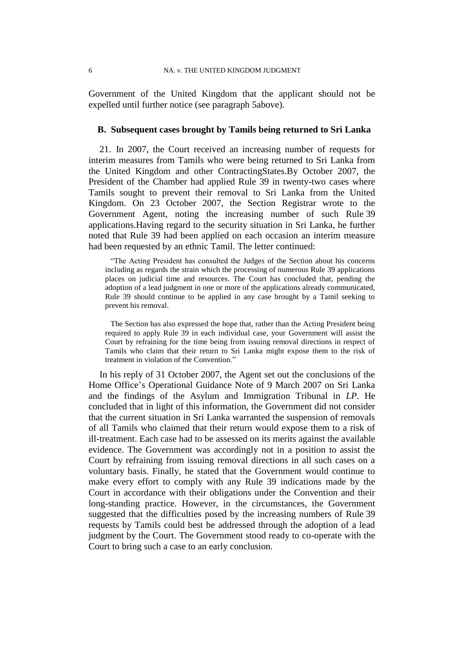Government of the United Kingdom that the applicant should not be expelled until further notice (see paragraph [5a](#page-2-0)bove).

#### **B. Subsequent cases brought by Tamils being returned to Sri Lanka**

<span id="page-7-0"></span>21. In 2007, the Court received an increasing number of requests for interim measures from Tamils who were being returned to Sri Lanka from the United Kingdom and other ContractingStates.By October 2007, the President of the Chamber had applied Rule 39 in twenty-two cases where Tamils sought to prevent their removal to Sri Lanka from the United Kingdom. On 23 October 2007, the Section Registrar wrote to the Government Agent, noting the increasing number of such Rule 39 applications.Having regard to the security situation in Sri Lanka, he further noted that Rule 39 had been applied on each occasion an interim measure had been requested by an ethnic Tamil. The letter continued:

"The Acting President has consulted the Judges of the Section about his concerns including as regards the strain which the processing of numerous Rule 39 applications places on judicial time and resources. The Court has concluded that, pending the adoption of a lead judgment in one or more of the applications already communicated, Rule 39 should continue to be applied in any case brought by a Tamil seeking to prevent his removal.

The Section has also expressed the hope that, rather than the Acting President being required to apply Rule 39 in each individual case, your Government will assist the Court by refraining for the time being from issuing removal directions in respect of Tamils who claim that their return to Sri Lanka might expose them to the risk of treatment in violation of the Convention."

In his reply of 31 October 2007, the Agent set out the conclusions of the Home Office"s Operational Guidance Note of 9 March 2007 on Sri Lanka and the findings of the Asylum and Immigration Tribunal in *LP*. He concluded that in light of this information, the Government did not consider that the current situation in Sri Lanka warranted the suspension of removals of all Tamils who claimed that their return would expose them to a risk of ill-treatment. Each case had to be assessed on its merits against the available evidence. The Government was accordingly not in a position to assist the Court by refraining from issuing removal directions in all such cases on a voluntary basis. Finally, he stated that the Government would continue to make every effort to comply with any Rule 39 indications made by the Court in accordance with their obligations under the Convention and their long-standing practice. However, in the circumstances, the Government suggested that the difficulties posed by the increasing numbers of Rule 39 requests by Tamils could best be addressed through the adoption of a lead judgment by the Court. The Government stood ready to co-operate with the Court to bring such a case to an early conclusion.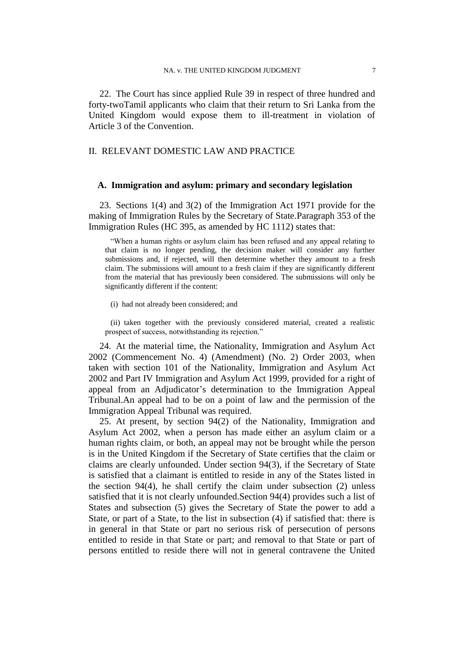22. The Court has since applied Rule 39 in respect of three hundred and forty-twoTamil applicants who claim that their return to Sri Lanka from the United Kingdom would expose them to ill-treatment in violation of Article 3 of the Convention.

## II. RELEVANT DOMESTIC LAW AND PRACTICE

#### **A. Immigration and asylum: primary and secondary legislation**

23. Sections 1(4) and 3(2) of the Immigration Act 1971 provide for the making of Immigration Rules by the Secretary of State.Paragraph 353 of the Immigration Rules (HC 395, as amended by HC 1112) states that:

"When a human rights or asylum claim has been refused and any appeal relating to that claim is no longer pending, the decision maker will consider any further submissions and, if rejected, will then determine whether they amount to a fresh claim. The submissions will amount to a fresh claim if they are significantly different from the material that has previously been considered. The submissions will only be significantly different if the content:

(i) had not already been considered; and

(ii) taken together with the previously considered material, created a realistic prospect of success, notwithstanding its rejection."

24. At the material time, the Nationality, Immigration and Asylum Act 2002 (Commencement No. 4) (Amendment) (No. 2) Order 2003, when taken with section 101 of the Nationality, Immigration and Asylum Act 2002 and Part IV Immigration and Asylum Act 1999, provided for a right of appeal from an Adjudicator"s determination to the Immigration Appeal Tribunal.An appeal had to be on a point of law and the permission of the Immigration Appeal Tribunal was required.

<span id="page-8-0"></span>25. At present, by section 94(2) of the Nationality, Immigration and Asylum Act 2002, when a person has made either an asylum claim or a human rights claim, or both, an appeal may not be brought while the person is in the United Kingdom if the Secretary of State certifies that the claim or claims are clearly unfounded. Under section 94(3), if the Secretary of State is satisfied that a claimant is entitled to reside in any of the States listed in the section 94(4), he shall certify the claim under subsection (2) unless satisfied that it is not clearly unfounded.Section 94(4) provides such a list of States and subsection (5) gives the Secretary of State the power to add a State, or part of a State, to the list in subsection (4) if satisfied that: there is in general in that State or part no serious risk of persecution of persons entitled to reside in that State or part; and removal to that State or part of persons entitled to reside there will not in general contravene the United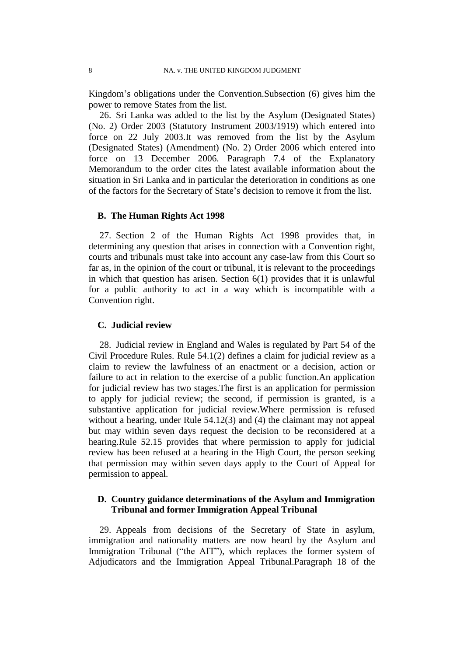Kingdom"s obligations under the Convention.Subsection (6) gives him the power to remove States from the list.

26. Sri Lanka was added to the list by the Asylum (Designated States) (No. 2) Order 2003 (Statutory Instrument 2003/1919) which entered into force on 22 July 2003.It was removed from the list by the Asylum (Designated States) (Amendment) (No. 2) Order 2006 which entered into force on 13 December 2006. Paragraph 7.4 of the Explanatory Memorandum to the order cites the latest available information about the situation in Sri Lanka and in particular the deterioration in conditions as one of the factors for the Secretary of State"s decision to remove it from the list.

### **B. The Human Rights Act 1998**

<span id="page-9-1"></span>27. Section 2 of the Human Rights Act 1998 provides that, in determining any question that arises in connection with a Convention right, courts and tribunals must take into account any case-law from this Court so far as, in the opinion of the court or tribunal, it is relevant to the proceedings in which that question has arisen. Section 6(1) provides that it is unlawful for a public authority to act in a way which is incompatible with a Convention right.

## **C. Judicial review**

<span id="page-9-0"></span>28. Judicial review in England and Wales is regulated by Part 54 of the Civil Procedure Rules. Rule 54.1(2) defines a claim for judicial review as a claim to review the lawfulness of an enactment or a decision, action or failure to act in relation to the exercise of a public function.An application for judicial review has two stages.The first is an application for permission to apply for judicial review; the second, if permission is granted, is a substantive application for judicial review.Where permission is refused without a hearing, under Rule 54.12(3) and (4) the claimant may not appeal but may within seven days request the decision to be reconsidered at a hearing.Rule 52.15 provides that where permission to apply for judicial review has been refused at a hearing in the High Court, the person seeking that permission may within seven days apply to the Court of Appeal for permission to appeal.

# **D. Country guidance determinations of the Asylum and Immigration Tribunal and former Immigration Appeal Tribunal**

29. Appeals from decisions of the Secretary of State in asylum, immigration and nationality matters are now heard by the Asylum and Immigration Tribunal ("the AIT"), which replaces the former system of Adjudicators and the Immigration Appeal Tribunal.Paragraph 18 of the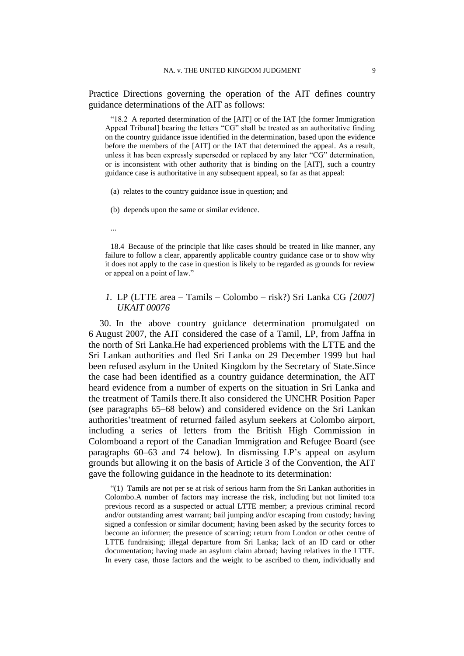Practice Directions governing the operation of the AIT defines country guidance determinations of the AIT as follows:

"18.2 A reported determination of the [AIT] or of the IAT [the former Immigration Appeal Tribunal] bearing the letters "CG" shall be treated as an authoritative finding on the country guidance issue identified in the determination, based upon the evidence before the members of the [AIT] or the IAT that determined the appeal. As a result, unless it has been expressly superseded or replaced by any later "CG" determination, or is inconsistent with other authority that is binding on the [AIT], such a country guidance case is authoritative in any subsequent appeal, so far as that appeal:

- (a) relates to the country guidance issue in question; and
- (b) depends upon the same or similar evidence.
- ...

18.4 Because of the principle that like cases should be treated in like manner, any failure to follow a clear, apparently applicable country guidance case or to show why it does not apply to the case in question is likely to be regarded as grounds for review or appeal on a point of law."

## *1.* LP (LTTE area – Tamils – Colombo – risk?) Sri Lanka CG *[2007] UKAIT 00076*

<span id="page-10-0"></span>30. In the above country guidance determination promulgated on 6 August 2007, the AIT considered the case of a Tamil, LP, from Jaffna in the north of Sri Lanka.He had experienced problems with the LTTE and the Sri Lankan authorities and fled Sri Lanka on 29 December 1999 but had been refused asylum in the United Kingdom by the Secretary of State.Since the case had been identified as a country guidance determination, the AIT heard evidence from a number of experts on the situation in Sri Lanka and the treatment of Tamils there.It also considered the UNCHR Position Paper (see paragraphs [65–](#page-26-0)[68](#page-27-0) below) and considered evidence on the Sri Lankan authorities"treatment of returned failed asylum seekers at Colombo airport, including a series of letters from the British High Commission in Colomboand a report of the Canadian Immigration and Refugee Board (see paragraphs [60](#page-24-0)[–63](#page-25-0) and [74](#page-30-0) below). In dismissing LP"s appeal on asylum grounds but allowing it on the basis of Article 3 of the Convention, the AIT gave the following guidance in the headnote to its determination:

"(1) Tamils are not per se at risk of serious harm from the Sri Lankan authorities in Colombo.A number of factors may increase the risk, including but not limited to:a previous record as a suspected or actual LTTE member; a previous criminal record and/or outstanding arrest warrant; bail jumping and/or escaping from custody; having signed a confession or similar document; having been asked by the security forces to become an informer; the presence of scarring; return from London or other centre of LTTE fundraising; illegal departure from Sri Lanka; lack of an ID card or other documentation; having made an asylum claim abroad; having relatives in the LTTE. In every case, those factors and the weight to be ascribed to them, individually and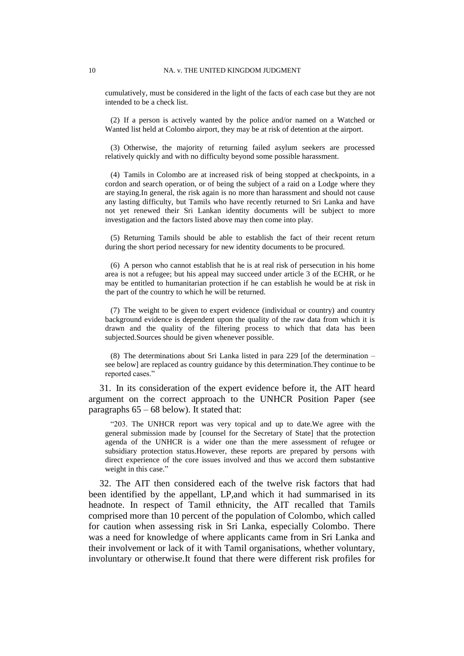cumulatively, must be considered in the light of the facts of each case but they are not intended to be a check list.

(2) If a person is actively wanted by the police and/or named on a Watched or Wanted list held at Colombo airport, they may be at risk of detention at the airport.

(3) Otherwise, the majority of returning failed asylum seekers are processed relatively quickly and with no difficulty beyond some possible harassment.

(4) Tamils in Colombo are at increased risk of being stopped at checkpoints, in a cordon and search operation, or of being the subject of a raid on a Lodge where they are staying.In general, the risk again is no more than harassment and should not cause any lasting difficulty, but Tamils who have recently returned to Sri Lanka and have not yet renewed their Sri Lankan identity documents will be subject to more investigation and the factors listed above may then come into play.

(5) Returning Tamils should be able to establish the fact of their recent return during the short period necessary for new identity documents to be procured.

(6) A person who cannot establish that he is at real risk of persecution in his home area is not a refugee; but his appeal may succeed under article 3 of the ECHR, or he may be entitled to humanitarian protection if he can establish he would be at risk in the part of the country to which he will be returned.

(7) The weight to be given to expert evidence (individual or country) and country background evidence is dependent upon the quality of the raw data from which it is drawn and the quality of the filtering process to which that data has been subjected.Sources should be given whenever possible.

(8) The determinations about Sri Lanka listed in para 229 [of the determination  $$ see below] are replaced as country guidance by this determination.They continue to be reported cases."

31. In its consideration of the expert evidence before it, the AIT heard argument on the correct approach to the UNHCR Position Paper (see paragraphs  $65 - 68$  $65 - 68$  below). It stated that:

"203. The UNHCR report was very topical and up to date.We agree with the general submission made by [counsel for the Secretary of State] that the protection agenda of the UNHCR is a wider one than the mere assessment of refugee or subsidiary protection status.However, these reports are prepared by persons with direct experience of the core issues involved and thus we accord them substantive weight in this case."

<span id="page-11-0"></span>32. The AIT then considered each of the twelve risk factors that had been identified by the appellant, LP,and which it had summarised in its headnote. In respect of Tamil ethnicity, the AIT recalled that Tamils comprised more than 10 percent of the population of Colombo, which called for caution when assessing risk in Sri Lanka, especially Colombo. There was a need for knowledge of where applicants came from in Sri Lanka and their involvement or lack of it with Tamil organisations, whether voluntary, involuntary or otherwise.It found that there were different risk profiles for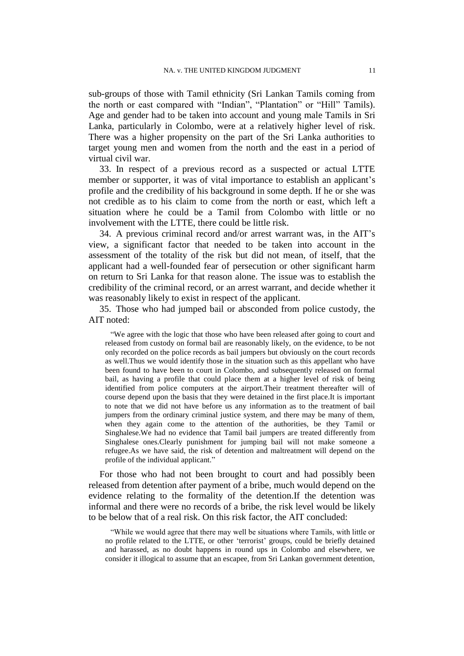sub-groups of those with Tamil ethnicity (Sri Lankan Tamils coming from the north or east compared with "Indian", "Plantation" or "Hill" Tamils). Age and gender had to be taken into account and young male Tamils in Sri Lanka, particularly in Colombo, were at a relatively higher level of risk. There was a higher propensity on the part of the Sri Lanka authorities to target young men and women from the north and the east in a period of virtual civil war.

<span id="page-12-2"></span>33. In respect of a previous record as a suspected or actual LTTE member or supporter, it was of vital importance to establish an applicant's profile and the credibility of his background in some depth. If he or she was not credible as to his claim to come from the north or east, which left a situation where he could be a Tamil from Colombo with little or no involvement with the LTTE, there could be little risk.

<span id="page-12-1"></span>34. A previous criminal record and/or arrest warrant was, in the AIT"s view, a significant factor that needed to be taken into account in the assessment of the totality of the risk but did not mean, of itself, that the applicant had a well-founded fear of persecution or other significant harm on return to Sri Lanka for that reason alone. The issue was to establish the credibility of the criminal record, or an arrest warrant, and decide whether it was reasonably likely to exist in respect of the applicant.

<span id="page-12-0"></span>35. Those who had jumped bail or absconded from police custody, the AIT noted:

"We agree with the logic that those who have been released after going to court and released from custody on formal bail are reasonably likely, on the evidence, to be not only recorded on the police records as bail jumpers but obviously on the court records as well.Thus we would identify those in the situation such as this appellant who have been found to have been to court in Colombo, and subsequently released on formal bail, as having a profile that could place them at a higher level of risk of being identified from police computers at the airport.Their treatment thereafter will of course depend upon the basis that they were detained in the first place.It is important to note that we did not have before us any information as to the treatment of bail jumpers from the ordinary criminal justice system, and there may be many of them, when they again come to the attention of the authorities, be they Tamil or Singhalese.We had no evidence that Tamil bail jumpers are treated differently from Singhalese ones.Clearly punishment for jumping bail will not make someone a refugee.As we have said, the risk of detention and maltreatment will depend on the profile of the individual applicant."

For those who had not been brought to court and had possibly been released from detention after payment of a bribe, much would depend on the evidence relating to the formality of the detention.If the detention was informal and there were no records of a bribe, the risk level would be likely to be below that of a real risk. On this risk factor, the AIT concluded:

"While we would agree that there may well be situations where Tamils, with little or no profile related to the LTTE, or other "terrorist" groups, could be briefly detained and harassed, as no doubt happens in round ups in Colombo and elsewhere, we consider it illogical to assume that an escapee, from Sri Lankan government detention,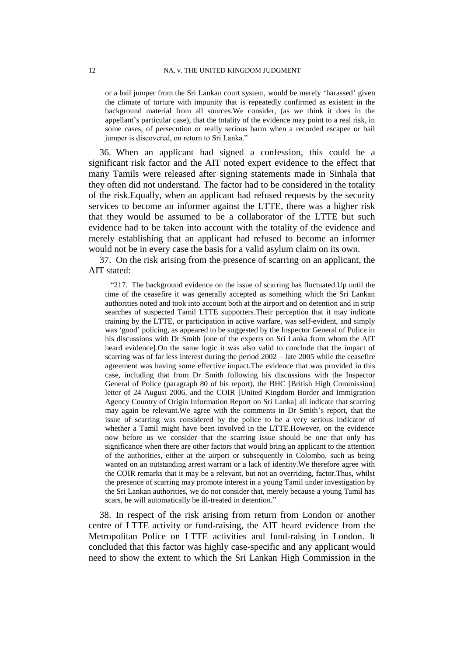or a bail jumper from the Sri Lankan court system, would be merely "harassed" given the climate of torture with impunity that is repeatedly confirmed as existent in the background material from all sources.We consider, (as we think it does in the appellant"s particular case), that the totality of the evidence may point to a real risk, in some cases, of persecution or really serious harm when a recorded escapee or bail jumper is discovered, on return to Sri Lanka."

<span id="page-13-1"></span>36. When an applicant had signed a confession, this could be a significant risk factor and the AIT noted expert evidence to the effect that many Tamils were released after signing statements made in Sinhala that they often did not understand. The factor had to be considered in the totality of the risk.Equally, when an applicant had refused requests by the security services to become an informer against the LTTE, there was a higher risk that they would be assumed to be a collaborator of the LTTE but such evidence had to be taken into account with the totality of the evidence and merely establishing that an applicant had refused to become an informer would not be in every case the basis for a valid asylum claim on its own.

<span id="page-13-0"></span>37. On the risk arising from the presence of scarring on an applicant, the AIT stated:

"217. The background evidence on the issue of scarring has fluctuated.Up until the time of the ceasefire it was generally accepted as something which the Sri Lankan authorities noted and took into account both at the airport and on detention and in strip searches of suspected Tamil LTTE supporters.Their perception that it may indicate training by the LTTE, or participation in active warfare, was self-evident, and simply was "good" policing, as appeared to be suggested by the Inspector General of Police in his discussions with Dr Smith [one of the experts on Sri Lanka from whom the AIT heard evidence].On the same logic it was also valid to conclude that the impact of scarring was of far less interest during the period 2002 – late 2005 while the ceasefire agreement was having some effective impact.The evidence that was provided in this case, including that from Dr Smith following his discussions with the Inspector General of Police (paragraph 80 of his report), the BHC [British High Commission] letter of 24 August 2006, and the COIR [United Kingdom Border and Immigration Agency Country of Origin Information Report on Sri Lanka] all indicate that scarring may again be relevant. We agree with the comments in Dr Smith's report, that the issue of scarring was considered by the police to be a very serious indicator of whether a Tamil might have been involved in the LTTE.However, on the evidence now before us we consider that the scarring issue should be one that only has significance when there are other factors that would bring an applicant to the attention of the authorities, either at the airport or subsequently in Colombo, such as being wanted on an outstanding arrest warrant or a lack of identity.We therefore agree with the COIR remarks that it may be a relevant, but not an overriding, factor.Thus, whilst the presence of scarring may promote interest in a young Tamil under investigation by the Sri Lankan authorities, we do not consider that, merely because a young Tamil has scars, he will automatically be ill-treated in detention."

<span id="page-13-2"></span>38. In respect of the risk arising from return from London or another centre of LTTE activity or fund-raising, the AIT heard evidence from the Metropolitan Police on LTTE activities and fund-raising in London. It concluded that this factor was highly case-specific and any applicant would need to show the extent to which the Sri Lankan High Commission in the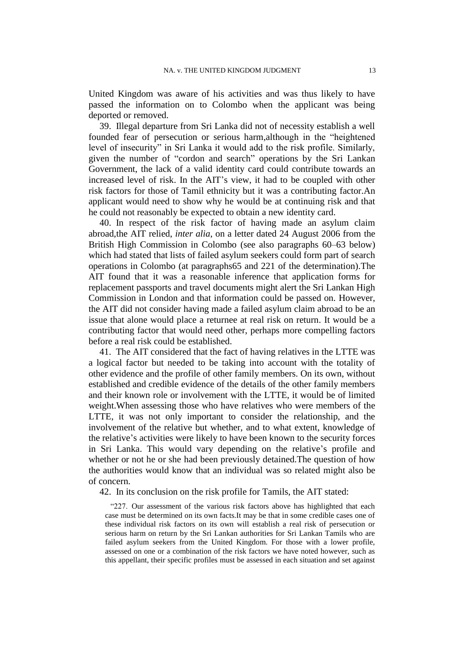United Kingdom was aware of his activities and was thus likely to have passed the information on to Colombo when the applicant was being deported or removed.

39. Illegal departure from Sri Lanka did not of necessity establish a well founded fear of persecution or serious harm,although in the "heightened level of insecurity" in Sri Lanka it would add to the risk profile. Similarly, given the number of "cordon and search" operations by the Sri Lankan Government, the lack of a valid identity card could contribute towards an increased level of risk. In the AIT"s view, it had to be coupled with other risk factors for those of Tamil ethnicity but it was a contributing factor.An applicant would need to show why he would be at continuing risk and that he could not reasonably be expected to obtain a new identity card.

<span id="page-14-1"></span>40. In respect of the risk factor of having made an asylum claim abroad,the AIT relied, *inter alia*, on a letter dated 24 August 2006 from the British High Commission in Colombo (see also paragraphs [60](#page-24-0)[–63](#page-25-0) below) which had stated that lists of failed asylum seekers could form part of search operations in Colombo (at paragraphs65 and 221 of the determination).The AIT found that it was a reasonable inference that application forms for replacement passports and travel documents might alert the Sri Lankan High Commission in London and that information could be passed on. However, the AIT did not consider having made a failed asylum claim abroad to be an issue that alone would place a returnee at real risk on return. It would be a contributing factor that would need other, perhaps more compelling factors before a real risk could be established.

<span id="page-14-2"></span>41. The AIT considered that the fact of having relatives in the LTTE was a logical factor but needed to be taking into account with the totality of other evidence and the profile of other family members. On its own, without established and credible evidence of the details of the other family members and their known role or involvement with the LTTE, it would be of limited weight.When assessing those who have relatives who were members of the LTTE, it was not only important to consider the relationship, and the involvement of the relative but whether, and to what extent, knowledge of the relative"s activities were likely to have been known to the security forces in Sri Lanka. This would vary depending on the relative"s profile and whether or not he or she had been previously detained.The question of how the authorities would know that an individual was so related might also be of concern.

<span id="page-14-0"></span>42. In its conclusion on the risk profile for Tamils, the AIT stated:

"227. Our assessment of the various risk factors above has highlighted that each case must be determined on its own facts.It may be that in some credible cases one of these individual risk factors on its own will establish a real risk of persecution or serious harm on return by the Sri Lankan authorities for Sri Lankan Tamils who are failed asylum seekers from the United Kingdom. For those with a lower profile, assessed on one or a combination of the risk factors we have noted however, such as this appellant, their specific profiles must be assessed in each situation and set against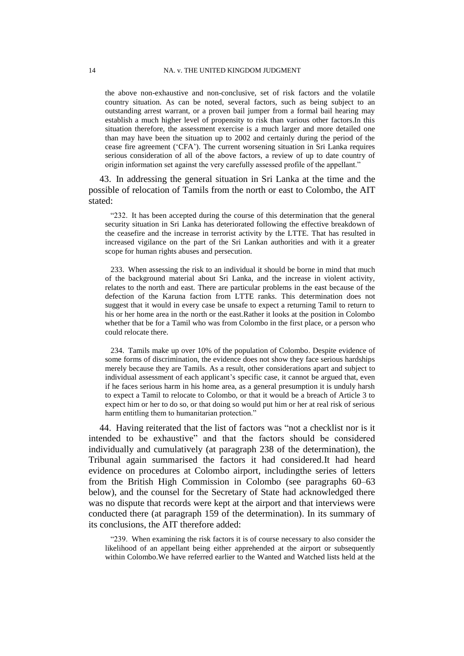the above non-exhaustive and non-conclusive, set of risk factors and the volatile country situation. As can be noted, several factors, such as being subject to an outstanding arrest warrant, or a proven bail jumper from a formal bail hearing may establish a much higher level of propensity to risk than various other factors.In this situation therefore, the assessment exercise is a much larger and more detailed one than may have been the situation up to 2002 and certainly during the period of the cease fire agreement ("CFA"). The current worsening situation in Sri Lanka requires serious consideration of all of the above factors, a review of up to date country of origin information set against the very carefully assessed profile of the appellant."

<span id="page-15-0"></span>43. In addressing the general situation in Sri Lanka at the time and the possible of relocation of Tamils from the north or east to Colombo, the AIT stated:

"232. It has been accepted during the course of this determination that the general security situation in Sri Lanka has deteriorated following the effective breakdown of the ceasefire and the increase in terrorist activity by the LTTE. That has resulted in increased vigilance on the part of the Sri Lankan authorities and with it a greater scope for human rights abuses and persecution.

233. When assessing the risk to an individual it should be borne in mind that much of the background material about Sri Lanka, and the increase in violent activity, relates to the north and east. There are particular problems in the east because of the defection of the Karuna faction from LTTE ranks. This determination does not suggest that it would in every case be unsafe to expect a returning Tamil to return to his or her home area in the north or the east.Rather it looks at the position in Colombo whether that be for a Tamil who was from Colombo in the first place, or a person who could relocate there.

234. Tamils make up over 10% of the population of Colombo. Despite evidence of some forms of discrimination, the evidence does not show they face serious hardships merely because they are Tamils. As a result, other considerations apart and subject to individual assessment of each applicant's specific case, it cannot be argued that, even if he faces serious harm in his home area, as a general presumption it is unduly harsh to expect a Tamil to relocate to Colombo, or that it would be a breach of Article 3 to expect him or her to do so, or that doing so would put him or her at real risk of serious harm entitling them to humanitarian protection."

<span id="page-15-1"></span>44. Having reiterated that the list of factors was "not a checklist nor is it intended to be exhaustive" and that the factors should be considered individually and cumulatively (at paragraph 238 of the determination), the Tribunal again summarised the factors it had considered.It had heard evidence on procedures at Colombo airport, includingthe series of letters from the British High Commission in Colombo (see paragraphs [60](#page-24-0)[–63](#page-25-0) below), and the counsel for the Secretary of State had acknowledged there was no dispute that records were kept at the airport and that interviews were conducted there (at paragraph 159 of the determination). In its summary of its conclusions, the AIT therefore added:

"239. When examining the risk factors it is of course necessary to also consider the likelihood of an appellant being either apprehended at the airport or subsequently within Colombo.We have referred earlier to the Wanted and Watched lists held at the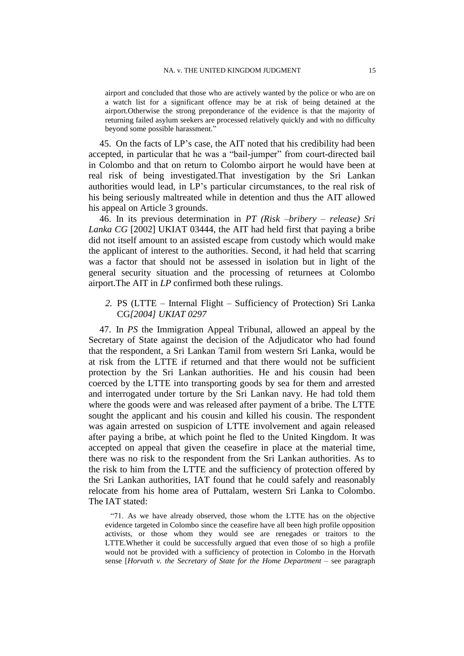airport and concluded that those who are actively wanted by the police or who are on a watch list for a significant offence may be at risk of being detained at the airport.Otherwise the strong preponderance of the evidence is that the majority of returning failed asylum seekers are processed relatively quickly and with no difficulty beyond some possible harassment."

45. On the facts of LP"s case, the AIT noted that his credibility had been accepted, in particular that he was a "bail-jumper" from court-directed bail in Colombo and that on return to Colombo airport he would have been at real risk of being investigated.That investigation by the Sri Lankan authorities would lead, in LP"s particular circumstances, to the real risk of his being seriously maltreated while in detention and thus the AIT allowed his appeal on Article 3 grounds.

<span id="page-16-0"></span>46. In its previous determination in *PT (Risk –bribery – release) Sri Lanka CG* [2002] UKIAT 03444, the AIT had held first that paying a bribe did not itself amount to an assisted escape from custody which would make the applicant of interest to the authorities. Second, it had held that scarring was a factor that should not be assessed in isolation but in light of the general security situation and the processing of returnees at Colombo airport.The AIT in *LP* confirmed both these rulings.

*2.* PS (LTTE – Internal Flight – Sufficiency of Protection) Sri Lanka CG*[2004] UKIAT 0297*

<span id="page-16-1"></span>47. In *PS* the Immigration Appeal Tribunal, allowed an appeal by the Secretary of State against the decision of the Adjudicator who had found that the respondent, a Sri Lankan Tamil from western Sri Lanka, would be at risk from the LTTE if returned and that there would not be sufficient protection by the Sri Lankan authorities. He and his cousin had been coerced by the LTTE into transporting goods by sea for them and arrested and interrogated under torture by the Sri Lankan navy. He had told them where the goods were and was released after payment of a bribe. The LTTE sought the applicant and his cousin and killed his cousin. The respondent was again arrested on suspicion of LTTE involvement and again released after paying a bribe, at which point he fled to the United Kingdom. It was accepted on appeal that given the ceasefire in place at the material time, there was no risk to the respondent from the Sri Lankan authorities. As to the risk to him from the LTTE and the sufficiency of protection offered by the Sri Lankan authorities, IAT found that he could safely and reasonably relocate from his home area of Puttalam, western Sri Lanka to Colombo. The IAT stated:

"71. As we have already observed, those whom the LTTE has on the objective evidence targeted in Colombo since the ceasefire have all been high profile opposition activists, or those whom they would see are renegades or traitors to the LTTE.Whether it could be successfully argued that even those of so high a profile would not be provided with a sufficiency of protection in Colombo in the Horvath sense [*Horvath v. the Secretary of State for the Home Department* – see paragraph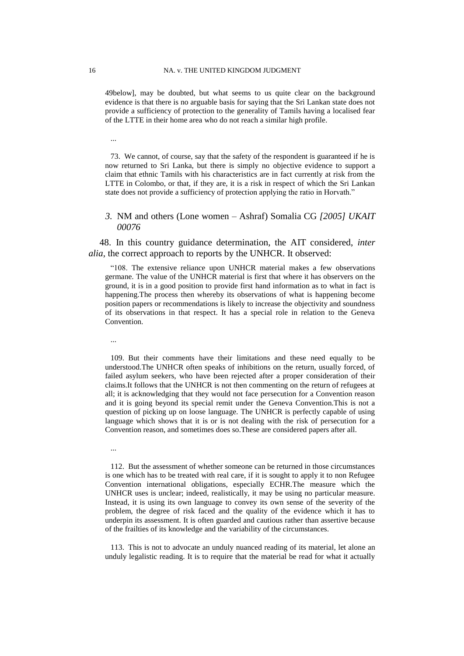[49b](#page-18-0)elow], may be doubted, but what seems to us quite clear on the background evidence is that there is no arguable basis for saying that the Sri Lankan state does not provide a sufficiency of protection to the generality of Tamils having a localised fear of the LTTE in their home area who do not reach a similar high profile.

...

73. We cannot, of course, say that the safety of the respondent is guaranteed if he is now returned to Sri Lanka, but there is simply no objective evidence to support a claim that ethnic Tamils with his characteristics are in fact currently at risk from the LTTE in Colombo, or that, if they are, it is a risk in respect of which the Sri Lankan state does not provide a sufficiency of protection applying the ratio in Horvath."

## *3.* NM and others (Lone women – Ashraf) Somalia CG *[2005] UKAIT 00076*

<span id="page-17-0"></span>48. In this country guidance determination, the AIT considered, *inter alia*, the correct approach to reports by the UNHCR. It observed:

"108. The extensive reliance upon UNHCR material makes a few observations germane. The value of the UNHCR material is first that where it has observers on the ground, it is in a good position to provide first hand information as to what in fact is happening.The process then whereby its observations of what is happening become position papers or recommendations is likely to increase the objectivity and soundness of its observations in that respect. It has a special role in relation to the Geneva Convention.

...

...

109. But their comments have their limitations and these need equally to be understood.The UNHCR often speaks of inhibitions on the return, usually forced, of failed asylum seekers, who have been rejected after a proper consideration of their claims.It follows that the UNHCR is not then commenting on the return of refugees at all; it is acknowledging that they would not face persecution for a Convention reason and it is going beyond its special remit under the Geneva Convention.This is not a question of picking up on loose language. The UNHCR is perfectly capable of using language which shows that it is or is not dealing with the risk of persecution for a Convention reason, and sometimes does so.These are considered papers after all.

112. But the assessment of whether someone can be returned in those circumstances is one which has to be treated with real care, if it is sought to apply it to non Refugee Convention international obligations, especially ECHR.The measure which the UNHCR uses is unclear; indeed, realistically, it may be using no particular measure. Instead, it is using its own language to convey its own sense of the severity of the problem, the degree of risk faced and the quality of the evidence which it has to underpin its assessment. It is often guarded and cautious rather than assertive because of the frailties of its knowledge and the variability of the circumstances.

113. This is not to advocate an unduly nuanced reading of its material, let alone an unduly legalistic reading. It is to require that the material be read for what it actually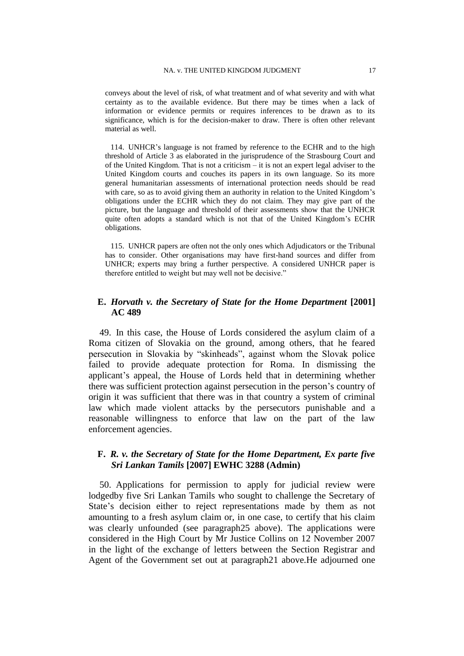conveys about the level of risk, of what treatment and of what severity and with what certainty as to the available evidence. But there may be times when a lack of information or evidence permits or requires inferences to be drawn as to its significance, which is for the decision-maker to draw. There is often other relevant material as well.

114. UNHCR"s language is not framed by reference to the ECHR and to the high threshold of Article 3 as elaborated in the jurisprudence of the Strasbourg Court and of the United Kingdom. That is not a criticism – it is not an expert legal adviser to the United Kingdom courts and couches its papers in its own language. So its more general humanitarian assessments of international protection needs should be read with care, so as to avoid giving them an authority in relation to the United Kingdom's obligations under the ECHR which they do not claim. They may give part of the picture, but the language and threshold of their assessments show that the UNHCR quite often adopts a standard which is not that of the United Kingdom"s ECHR obligations.

115. UNHCR papers are often not the only ones which Adjudicators or the Tribunal has to consider. Other organisations may have first-hand sources and differ from UNHCR; experts may bring a further perspective. A considered UNHCR paper is therefore entitled to weight but may well not be decisive."

## **E.** *Horvath v. the Secretary of State for the Home Department* **[2001] AC 489**

<span id="page-18-0"></span>49. In this case, the House of Lords considered the asylum claim of a Roma citizen of Slovakia on the ground, among others, that he feared persecution in Slovakia by "skinheads", against whom the Slovak police failed to provide adequate protection for Roma. In dismissing the applicant"s appeal, the House of Lords held that in determining whether there was sufficient protection against persecution in the person"s country of origin it was sufficient that there was in that country a system of criminal law which made violent attacks by the persecutors punishable and a reasonable willingness to enforce that law on the part of the law enforcement agencies.

# **F.** *R. v. the Secretary of State for the Home Department, Ex parte five Sri Lankan Tamils* **[2007] EWHC 3288 (Admin)**

<span id="page-18-1"></span>50. Applications for permission to apply for judicial review were lodgedby five Sri Lankan Tamils who sought to challenge the Secretary of State's decision either to reject representations made by them as not amounting to a fresh asylum claim or, in one case, to certify that his claim was clearly unfounded (see paragrap[h25](#page-8-0) above). The applications were considered in the High Court by Mr Justice Collins on 12 November 2007 in the light of the exchange of letters between the Section Registrar and Agent of the Government set out at paragrap[h21](#page-7-0) above.He adjourned one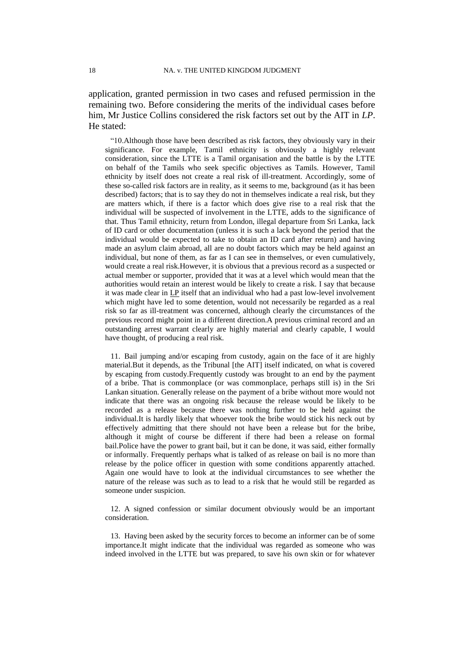application, granted permission in two cases and refused permission in the remaining two. Before considering the merits of the individual cases before him, Mr Justice Collins considered the risk factors set out by the AIT in *LP*. He stated:

"10.Although those have been described as risk factors, they obviously vary in their significance. For example, Tamil ethnicity is obviously a highly relevant consideration, since the LTTE is a Tamil organisation and the battle is by the LTTE on behalf of the Tamils who seek specific objectives as Tamils. However, Tamil ethnicity by itself does not create a real risk of ill-treatment. Accordingly, some of these so-called risk factors are in reality, as it seems to me, background (as it has been described) factors; that is to say they do not in themselves indicate a real risk, but they are matters which, if there is a factor which does give rise to a real risk that the individual will be suspected of involvement in the LTTE, adds to the significance of that. Thus Tamil ethnicity, return from London, illegal departure from Sri Lanka, lack of ID card or other documentation (unless it is such a lack beyond the period that the individual would be expected to take to obtain an ID card after return) and having made an asylum claim abroad, all are no doubt factors which may be held against an individual, but none of them, as far as I can see in themselves, or even cumulatively, would create a real risk.However, it is obvious that a previous record as a suspected or actual member or supporter, provided that it was at a level which would mean that the authorities would retain an interest would be likely to create a risk. I say that because it was made clear in LP itself that an individual who had a past low-level involvement which might have led to some detention, would not necessarily be regarded as a real risk so far as ill-treatment was concerned, although clearly the circumstances of the previous record might point in a different direction.A previous criminal record and an outstanding arrest warrant clearly are highly material and clearly capable, I would have thought, of producing a real risk.

11. Bail jumping and/or escaping from custody, again on the face of it are highly material.But it depends, as the Tribunal [the AIT] itself indicated, on what is covered by escaping from custody.Frequently custody was brought to an end by the payment of a bribe. That is commonplace (or was commonplace, perhaps still is) in the Sri Lankan situation. Generally release on the payment of a bribe without more would not indicate that there was an ongoing risk because the release would be likely to be recorded as a release because there was nothing further to be held against the individual.It is hardly likely that whoever took the bribe would stick his neck out by effectively admitting that there should not have been a release but for the bribe, although it might of course be different if there had been a release on formal bail.Police have the power to grant bail, but it can be done, it was said, either formally or informally. Frequently perhaps what is talked of as release on bail is no more than release by the police officer in question with some conditions apparently attached. Again one would have to look at the individual circumstances to see whether the nature of the release was such as to lead to a risk that he would still be regarded as someone under suspicion.

12. A signed confession or similar document obviously would be an important consideration.

13. Having been asked by the security forces to become an informer can be of some importance.It might indicate that the individual was regarded as someone who was indeed involved in the LTTE but was prepared, to save his own skin or for whatever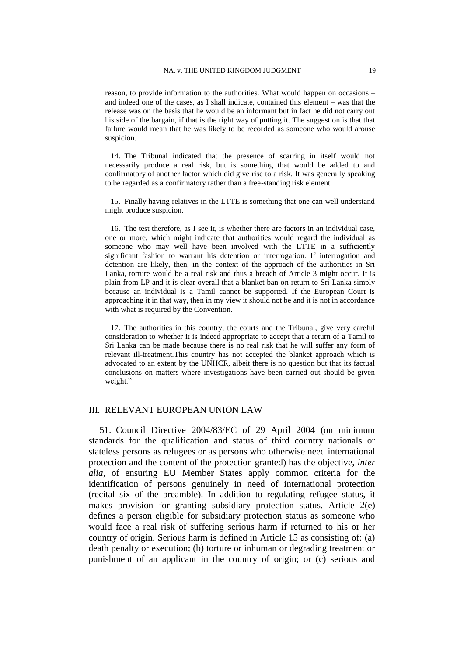reason, to provide information to the authorities. What would happen on occasions – and indeed one of the cases, as I shall indicate, contained this element – was that the release was on the basis that he would be an informant but in fact he did not carry out his side of the bargain, if that is the right way of putting it. The suggestion is that that failure would mean that he was likely to be recorded as someone who would arouse suspicion.

14. The Tribunal indicated that the presence of scarring in itself would not necessarily produce a real risk, but is something that would be added to and confirmatory of another factor which did give rise to a risk. It was generally speaking to be regarded as a confirmatory rather than a free-standing risk element.

15. Finally having relatives in the LTTE is something that one can well understand might produce suspicion.

16. The test therefore, as I see it, is whether there are factors in an individual case, one or more, which might indicate that authorities would regard the individual as someone who may well have been involved with the LTTE in a sufficiently significant fashion to warrant his detention or interrogation. If interrogation and detention are likely, then, in the context of the approach of the authorities in Sri Lanka, torture would be a real risk and thus a breach of Article 3 might occur. It is plain from LP and it is clear overall that a blanket ban on return to Sri Lanka simply because an individual is a Tamil cannot be supported. If the European Court is approaching it in that way, then in my view it should not be and it is not in accordance with what is required by the Convention.

17. The authorities in this country, the courts and the Tribunal, give very careful consideration to whether it is indeed appropriate to accept that a return of a Tamil to Sri Lanka can be made because there is no real risk that he will suffer any form of relevant ill-treatment.This country has not accepted the blanket approach which is advocated to an extent by the UNHCR, albeit there is no question but that its factual conclusions on matters where investigations have been carried out should be given weight."

## III. RELEVANT EUROPEAN UNION LAW

<span id="page-20-0"></span>51. Council Directive 2004/83/EC of 29 April 2004 (on minimum standards for the qualification and status of third country nationals or stateless persons as refugees or as persons who otherwise need international protection and the content of the protection granted) has the objective, *inter alia*, of ensuring EU Member States apply common criteria for the identification of persons genuinely in need of international protection (recital six of the preamble). In addition to regulating refugee status, it makes provision for granting subsidiary protection status. Article 2(e) defines a person eligible for subsidiary protection status as someone who would face a real risk of suffering serious harm if returned to his or her country of origin. Serious harm is defined in Article 15 as consisting of: (a) death penalty or execution; (b) torture or inhuman or degrading treatment or punishment of an applicant in the country of origin; or (c) serious and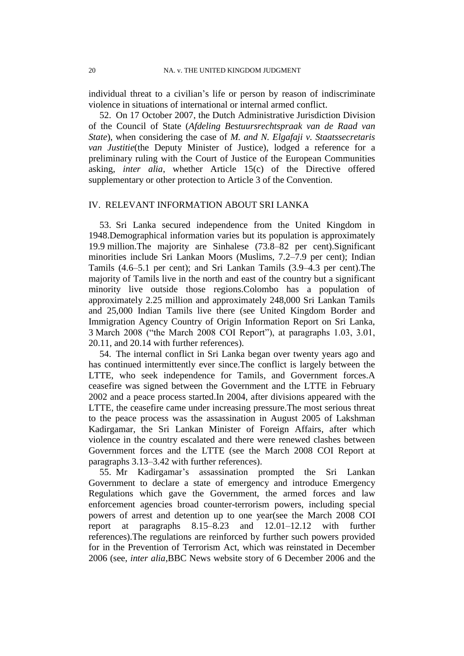individual threat to a civilian"s life or person by reason of indiscriminate violence in situations of international or internal armed conflict.

52. On 17 October 2007, the Dutch Administrative Jurisdiction Division of the Council of State (*Afdeling Bestuursrechtspraak van de Raad van State*), when considering the case of *M. and N. Elgafaji v. Staatssecretaris van Justitie*(the Deputy Minister of Justice), lodged a reference for a preliminary ruling with the Court of Justice of the European Communities asking, *inter alia*, whether Article 15(c) of the Directive offered supplementary or other protection to Article 3 of the Convention.

## IV. RELEVANT INFORMATION ABOUT SRI LANKA

<span id="page-21-1"></span>53. Sri Lanka secured independence from the United Kingdom in 1948.Demographical information varies but its population is approximately 19.9 million.The majority are Sinhalese (73.8–82 per cent).Significant minorities include Sri Lankan Moors (Muslims, 7.2–7.9 per cent); Indian Tamils (4.6–5.1 per cent); and Sri Lankan Tamils (3.9–4.3 per cent).The majority of Tamils live in the north and east of the country but a significant minority live outside those regions.Colombo has a population of approximately 2.25 million and approximately 248,000 Sri Lankan Tamils and 25,000 Indian Tamils live there (see United Kingdom Border and Immigration Agency Country of Origin Information Report on Sri Lanka, 3 March 2008 ("the March 2008 COI Report"), at paragraphs 1.03, 3.01, 20.11, and 20.14 with further references).

<span id="page-21-2"></span>54. The internal conflict in Sri Lanka began over twenty years ago and has continued intermittently ever since.The conflict is largely between the LTTE, who seek independence for Tamils, and Government forces.A ceasefire was signed between the Government and the LTTE in February 2002 and a peace process started.In 2004, after divisions appeared with the LTTE, the ceasefire came under increasing pressure.The most serious threat to the peace process was the assassination in August 2005 of Lakshman Kadirgamar, the Sri Lankan Minister of Foreign Affairs, after which violence in the country escalated and there were renewed clashes between Government forces and the LTTE (see the March 2008 COI Report at paragraphs 3.13–3.42 with further references).

<span id="page-21-0"></span>55. Mr Kadirgamar"s assassination prompted the Sri Lankan Government to declare a state of emergency and introduce Emergency Regulations which gave the Government, the armed forces and law enforcement agencies broad counter-terrorism powers, including special powers of arrest and detention up to one year(see the March 2008 COI report at paragraphs 8.15–8.23 and 12.01–12.12 with further references).The regulations are reinforced by further such powers provided for in the Prevention of Terrorism Act, which was reinstated in December 2006 (see, *inter alia*,BBC News website story of 6 December 2006 and the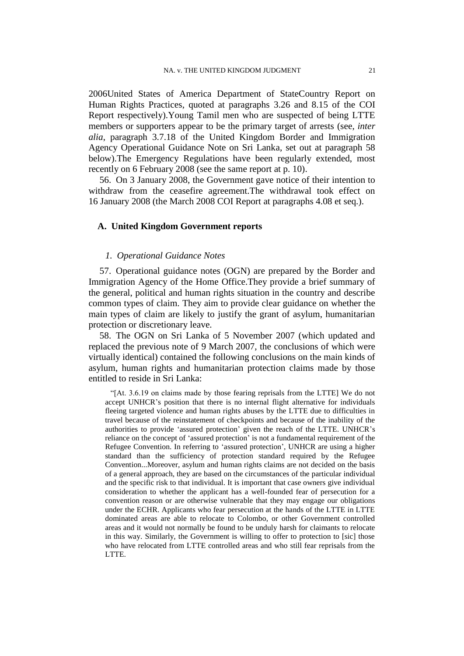2006United States of America Department of StateCountry Report on Human Rights Practices, quoted at paragraphs 3.26 and 8.15 of the COI Report respectively).Young Tamil men who are suspected of being LTTE members or supporters appear to be the primary target of arrests (see, *inter alia*, paragraph 3.7.18 of the United Kingdom Border and Immigration Agency Operational Guidance Note on Sri Lanka, set out at paragraph [58](#page-22-0) below).The Emergency Regulations have been regularly extended, most recently on 6 February 2008 (see the same report at p. 10).

56. On 3 January 2008, the Government gave notice of their intention to withdraw from the ceasefire agreement.The withdrawal took effect on 16 January 2008 (the March 2008 COI Report at paragraphs 4.08 et seq.).

## **A. United Kingdom Government reports**

## *1. Operational Guidance Notes*

57. Operational guidance notes (OGN) are prepared by the Border and Immigration Agency of the Home Office.They provide a brief summary of the general, political and human rights situation in the country and describe common types of claim. They aim to provide clear guidance on whether the main types of claim are likely to justify the grant of asylum, humanitarian protection or discretionary leave.

<span id="page-22-0"></span>58. The OGN on Sri Lanka of 5 November 2007 (which updated and replaced the previous note of 9 March 2007, the conclusions of which were virtually identical) contained the following conclusions on the main kinds of asylum, human rights and humanitarian protection claims made by those entitled to reside in Sri Lanka:

"[At. 3.6.19 on claims made by those fearing reprisals from the LTTE] We do not accept UNHCR"s position that there is no internal flight alternative for individuals fleeing targeted violence and human rights abuses by the LTTE due to difficulties in travel because of the reinstatement of checkpoints and because of the inability of the authorities to provide "assured protection" given the reach of the LTTE. UNHCR"s reliance on the concept of "assured protection" is not a fundamental requirement of the Refugee Convention. In referring to "assured protection", UNHCR are using a higher standard than the sufficiency of protection standard required by the Refugee Convention...Moreover, asylum and human rights claims are not decided on the basis of a general approach, they are based on the circumstances of the particular individual and the specific risk to that individual. It is important that case owners give individual consideration to whether the applicant has a well-founded fear of persecution for a convention reason or are otherwise vulnerable that they may engage our obligations under the ECHR. Applicants who fear persecution at the hands of the LTTE in LTTE dominated areas are able to relocate to Colombo, or other Government controlled areas and it would not normally be found to be unduly harsh for claimants to relocate in this way. Similarly, the Government is willing to offer to protection to [sic] those who have relocated from LTTE controlled areas and who still fear reprisals from the LTTE.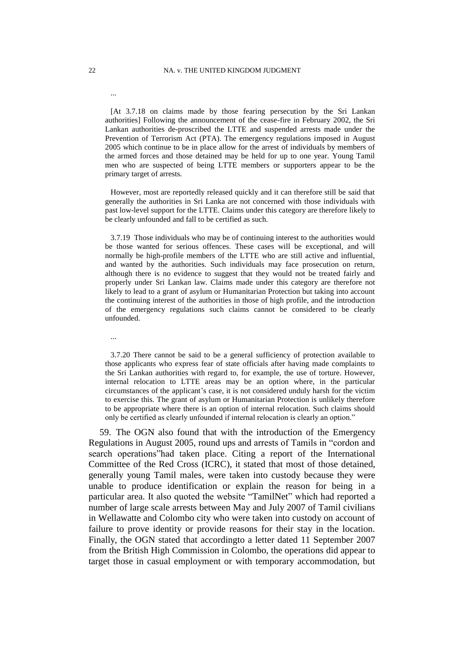#### 22 NA. v. THE UNITED KINGDOM JUDGMENT

[At 3.7.18 on claims made by those fearing persecution by the Sri Lankan authorities] Following the announcement of the cease-fire in February 2002, the Sri Lankan authorities de-proscribed the LTTE and suspended arrests made under the Prevention of Terrorism Act (PTA). The emergency regulations imposed in August 2005 which continue to be in place allow for the arrest of individuals by members of the armed forces and those detained may be held for up to one year. Young Tamil men who are suspected of being LTTE members or supporters appear to be the primary target of arrests.

However, most are reportedly released quickly and it can therefore still be said that generally the authorities in Sri Lanka are not concerned with those individuals with past low-level support for the LTTE. Claims under this category are therefore likely to be clearly unfounded and fall to be certified as such.

3.7.19 Those individuals who may be of continuing interest to the authorities would be those wanted for serious offences. These cases will be exceptional, and will normally be high-profile members of the LTTE who are still active and influential, and wanted by the authorities. Such individuals may face prosecution on return, although there is no evidence to suggest that they would not be treated fairly and properly under Sri Lankan law. Claims made under this category are therefore not likely to lead to a grant of asylum or Humanitarian Protection but taking into account the continuing interest of the authorities in those of high profile, and the introduction of the emergency regulations such claims cannot be considered to be clearly unfounded.

...

3.7.20 There cannot be said to be a general sufficiency of protection available to those applicants who express fear of state officials after having made complaints to the Sri Lankan authorities with regard to, for example, the use of torture. However, internal relocation to LTTE areas may be an option where, in the particular circumstances of the applicant"s case, it is not considered unduly harsh for the victim to exercise this. The grant of asylum or Humanitarian Protection is unlikely therefore to be appropriate where there is an option of internal relocation. Such claims should only be certified as clearly unfounded if internal relocation is clearly an option."

<span id="page-23-0"></span>59. The OGN also found that with the introduction of the Emergency Regulations in August 2005, round ups and arrests of Tamils in "cordon and search operations"had taken place. Citing a report of the International Committee of the Red Cross (ICRC), it stated that most of those detained, generally young Tamil males, were taken into custody because they were unable to produce identification or explain the reason for being in a particular area. It also quoted the website "TamilNet" which had reported a number of large scale arrests between May and July 2007 of Tamil civilians in Wellawatte and Colombo city who were taken into custody on account of failure to prove identity or provide reasons for their stay in the location. Finally, the OGN stated that accordingto a letter dated 11 September 2007 from the British High Commission in Colombo, the operations did appear to target those in casual employment or with temporary accommodation, but

...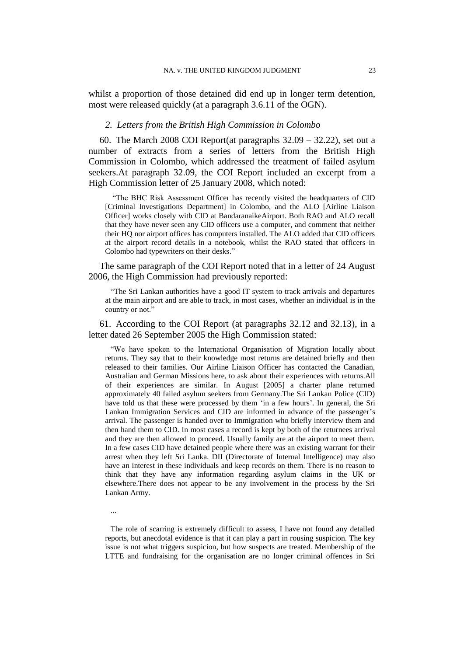whilst a proportion of those detained did end up in longer term detention, most were released quickly (at a paragraph 3.6.11 of the OGN).

### *2. Letters from the British High Commission in Colombo*

<span id="page-24-0"></span>60. The March 2008 COI Report(at paragraphs  $32.09 - 32.22$ ), set out a number of extracts from a series of letters from the British High Commission in Colombo, which addressed the treatment of failed asylum seekers.At paragraph 32.09, the COI Report included an excerpt from a High Commission letter of 25 January 2008, which noted:

"The BHC Risk Assessment Officer has recently visited the headquarters of CID [Criminal Investigations Department] in Colombo, and the ALO [Airline Liaison Officer] works closely with CID at BandaranaikeAirport. Both RAO and ALO recall that they have never seen any CID officers use a computer, and comment that neither their HQ nor airport offices has computers installed. The ALO added that CID officers at the airport record details in a notebook, whilst the RAO stated that officers in Colombo had typewriters on their desks."

The same paragraph of the COI Report noted that in a letter of 24 August 2006, the High Commission had previously reported:

"The Sri Lankan authorities have a good IT system to track arrivals and departures at the main airport and are able to track, in most cases, whether an individual is in the country or not."

61. According to the COI Report (at paragraphs 32.12 and 32.13), in a letter dated 26 September 2005 the High Commission stated:

"We have spoken to the International Organisation of Migration locally about returns. They say that to their knowledge most returns are detained briefly and then released to their families. Our Airline Liaison Officer has contacted the Canadian, Australian and German Missions here, to ask about their experiences with returns.All of their experiences are similar. In August [2005] a charter plane returned approximately 40 failed asylum seekers from Germany.The Sri Lankan Police (CID) have told us that these were processed by them 'in a few hours'. In general, the Sri Lankan Immigration Services and CID are informed in advance of the passenger's arrival. The passenger is handed over to Immigration who briefly interview them and then hand them to CID. In most cases a record is kept by both of the returnees arrival and they are then allowed to proceed. Usually family are at the airport to meet them. In a few cases CID have detained people where there was an existing warrant for their arrest when they left Sri Lanka. DII (Directorate of Internal Intelligence) may also have an interest in these individuals and keep records on them. There is no reason to think that they have any information regarding asylum claims in the UK or elsewhere.There does not appear to be any involvement in the process by the Sri Lankan Army.

...

The role of scarring is extremely difficult to assess, I have not found any detailed reports, but anecdotal evidence is that it can play a part in rousing suspicion. The key issue is not what triggers suspicion, but how suspects are treated. Membership of the LTTE and fundraising for the organisation are no longer criminal offences in Sri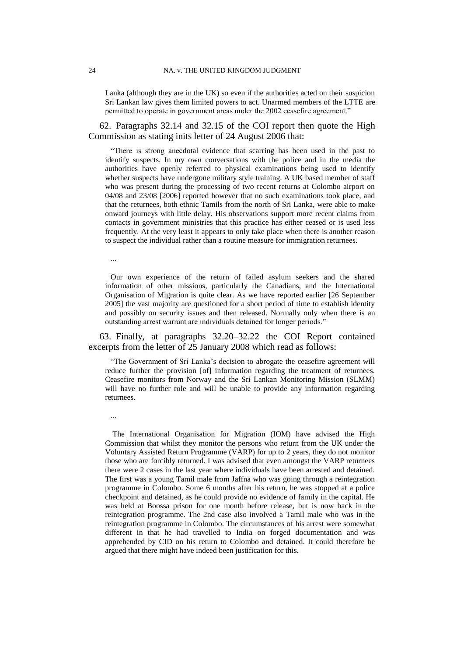Lanka (although they are in the UK) so even if the authorities acted on their suspicion Sri Lankan law gives them limited powers to act. Unarmed members of the LTTE are permitted to operate in government areas under the 2002 ceasefire agreement."

62. Paragraphs 32.14 and 32.15 of the COI report then quote the High Commission as stating inits letter of 24 August 2006 that:

"There is strong anecdotal evidence that scarring has been used in the past to identify suspects. In my own conversations with the police and in the media the authorities have openly referred to physical examinations being used to identify whether suspects have undergone military style training. A UK based member of staff who was present during the processing of two recent returns at Colombo airport on 04/08 and 23/08 [2006] reported however that no such examinations took place, and that the returnees, both ethnic Tamils from the north of Sri Lanka, were able to make onward journeys with little delay. His observations support more recent claims from contacts in government ministries that this practice has either ceased or is used less frequently. At the very least it appears to only take place when there is another reason to suspect the individual rather than a routine measure for immigration returnees.

...

Our own experience of the return of failed asylum seekers and the shared information of other missions, particularly the Canadians, and the International Organisation of Migration is quite clear. As we have reported earlier [26 September 2005] the vast majority are questioned for a short period of time to establish identity and possibly on security issues and then released. Normally only when there is an outstanding arrest warrant are individuals detained for longer periods."

<span id="page-25-0"></span>63. Finally, at paragraphs 32.20–32.22 the COI Report contained excerpts from the letter of 25 January 2008 which read as follows:

"The Government of Sri Lanka"s decision to abrogate the ceasefire agreement will reduce further the provision [of] information regarding the treatment of returnees. Ceasefire monitors from Norway and the Sri Lankan Monitoring Mission (SLMM) will have no further role and will be unable to provide any information regarding returnees.

...

The International Organisation for Migration (IOM) have advised the High Commission that whilst they monitor the persons who return from the UK under the Voluntary Assisted Return Programme (VARP) for up to 2 years, they do not monitor those who are forcibly returned. I was advised that even amongst the VARP returnees there were 2 cases in the last year where individuals have been arrested and detained. The first was a young Tamil male from Jaffna who was going through a reintegration programme in Colombo. Some 6 months after his return, he was stopped at a police checkpoint and detained, as he could provide no evidence of family in the capital. He was held at Boossa prison for one month before release, but is now back in the reintegration programme. The 2nd case also involved a Tamil male who was in the reintegration programme in Colombo. The circumstances of his arrest were somewhat different in that he had travelled to India on forged documentation and was apprehended by CID on his return to Colombo and detained. It could therefore be argued that there might have indeed been justification for this.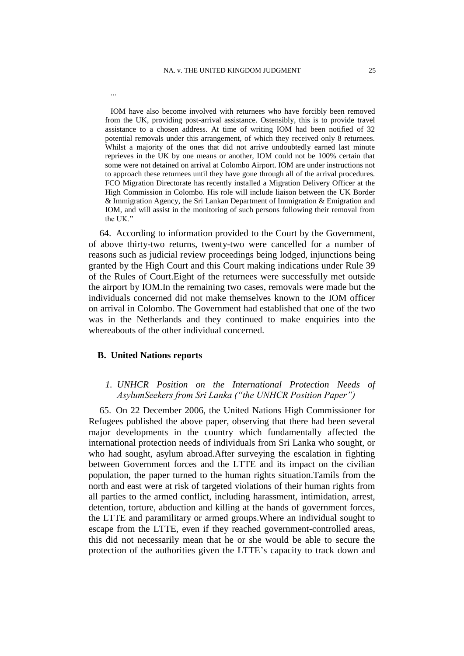IOM have also become involved with returnees who have forcibly been removed from the UK, providing post-arrival assistance. Ostensibly, this is to provide travel assistance to a chosen address. At time of writing IOM had been notified of 32 potential removals under this arrangement, of which they received only 8 returnees. Whilst a majority of the ones that did not arrive undoubtedly earned last minute reprieves in the UK by one means or another, IOM could not be 100% certain that some were not detained on arrival at Colombo Airport. IOM are under instructions not to approach these returnees until they have gone through all of the arrival procedures. FCO Migration Directorate has recently installed a Migration Delivery Officer at the High Commission in Colombo. His role will include liaison between the UK Border & Immigration Agency, the Sri Lankan Department of Immigration & Emigration and IOM, and will assist in the monitoring of such persons following their removal from the UK."

64. According to information provided to the Court by the Government, of above thirty-two returns, twenty-two were cancelled for a number of reasons such as judicial review proceedings being lodged, injunctions being granted by the High Court and this Court making indications under Rule 39 of the Rules of Court.Eight of the returnees were successfully met outside the airport by IOM.In the remaining two cases, removals were made but the individuals concerned did not make themselves known to the IOM officer on arrival in Colombo. The Government had established that one of the two was in the Netherlands and they continued to make enquiries into the whereabouts of the other individual concerned.

## **B. United Nations reports**

...

# *1. UNHCR Position on the International Protection Needs of AsylumSeekers from Sri Lanka ("the UNHCR Position Paper")*

<span id="page-26-0"></span>65. On 22 December 2006, the United Nations High Commissioner for Refugees published the above paper, observing that there had been several major developments in the country which fundamentally affected the international protection needs of individuals from Sri Lanka who sought, or who had sought, asylum abroad.After surveying the escalation in fighting between Government forces and the LTTE and its impact on the civilian population, the paper turned to the human rights situation.Tamils from the north and east were at risk of targeted violations of their human rights from all parties to the armed conflict, including harassment, intimidation, arrest, detention, torture, abduction and killing at the hands of government forces, the LTTE and paramilitary or armed groups.Where an individual sought to escape from the LTTE, even if they reached government-controlled areas, this did not necessarily mean that he or she would be able to secure the protection of the authorities given the LTTE"s capacity to track down and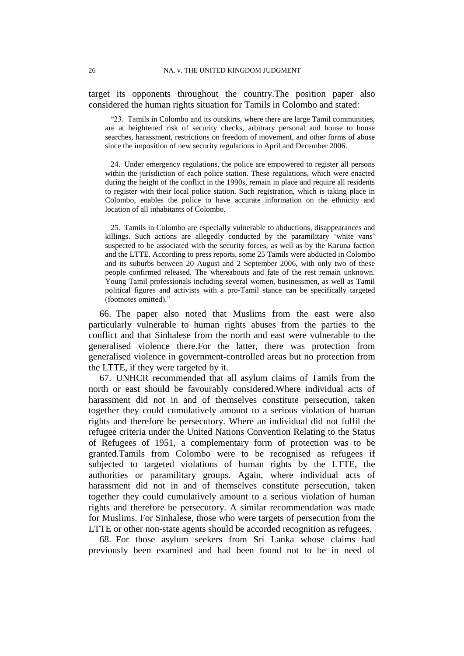target its opponents throughout the country.The position paper also considered the human rights situation for Tamils in Colombo and stated:

"23. Tamils in Colombo and its outskirts, where there are large Tamil communities, are at heightened risk of security checks, arbitrary personal and house to house searches, harassment, restrictions on freedom of movement, and other forms of abuse since the imposition of new security regulations in April and December 2006.

24. Under emergency regulations, the police are empowered to register all persons within the jurisdiction of each police station. These regulations, which were enacted during the height of the conflict in the 1990s, remain in place and require all residents to register with their local police station. Such registration, which is taking place in Colombo, enables the police to have accurate information on the ethnicity and location of all inhabitants of Colombo.

25. Tamils in Colombo are especially vulnerable to abductions, disappearances and killings. Such actions are allegedly conducted by the paramilitary 'white vans' suspected to be associated with the security forces, as well as by the Karuna faction and the LTTE. According to press reports, some 25 Tamils were abducted in Colombo and its suburbs between 20 August and 2 September 2006, with only two of these people confirmed released. The whereabouts and fate of the rest remain unknown. Young Tamil professionals including several women, businessmen, as well as Tamil political figures and activists with a pro-Tamil stance can be specifically targeted (footnotes omitted)."

66. The paper also noted that Muslims from the east were also particularly vulnerable to human rights abuses from the parties to the conflict and that Sinhalese from the north and east were vulnerable to the generalised violence there.For the latter, there was protection from generalised violence in government-controlled areas but no protection from the LTTE, if they were targeted by it.

67. UNHCR recommended that all asylum claims of Tamils from the north or east should be favourably considered.Where individual acts of harassment did not in and of themselves constitute persecution, taken together they could cumulatively amount to a serious violation of human rights and therefore be persecutory. Where an individual did not fulfil the refugee criteria under the United Nations Convention Relating to the Status of Refugees of 1951, a complementary form of protection was to be granted.Tamils from Colombo were to be recognised as refugees if subjected to targeted violations of human rights by the LTTE, the authorities or paramilitary groups. Again, where individual acts of harassment did not in and of themselves constitute persecution, taken together they could cumulatively amount to a serious violation of human rights and therefore be persecutory. A similar recommendation was made for Muslims. For Sinhalese, those who were targets of persecution from the LTTE or other non-state agents should be accorded recognition as refugees.

<span id="page-27-0"></span>68. For those asylum seekers from Sri Lanka whose claims had previously been examined and had been found not to be in need of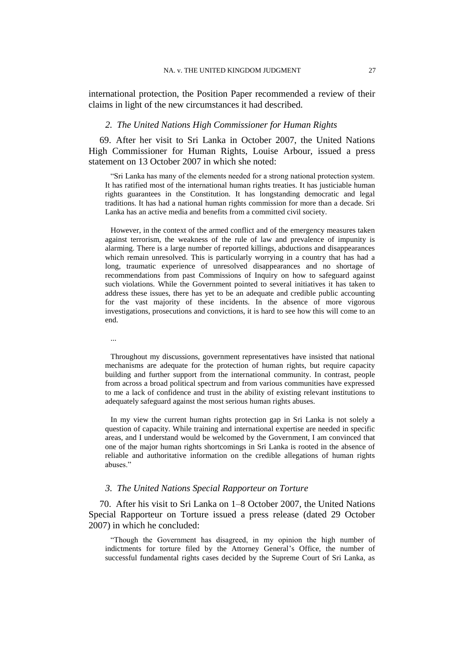international protection, the Position Paper recommended a review of their claims in light of the new circumstances it had described.

#### *2. The United Nations High Commissioner for Human Rights*

<span id="page-28-0"></span>69. After her visit to Sri Lanka in October 2007, the United Nations High Commissioner for Human Rights, Louise Arbour, issued a press statement on 13 October 2007 in which she noted:

"Sri Lanka has many of the elements needed for a strong national protection system. It has ratified most of the international human rights treaties. It has justiciable human rights guarantees in the Constitution. It has longstanding democratic and legal traditions. It has had a national human rights commission for more than a decade. Sri Lanka has an active media and benefits from a committed civil society.

However, in the context of the armed conflict and of the emergency measures taken against terrorism, the weakness of the rule of law and prevalence of impunity is alarming. There is a large number of reported killings, abductions and disappearances which remain unresolved. This is particularly worrying in a country that has had a long, traumatic experience of unresolved disappearances and no shortage of recommendations from past Commissions of Inquiry on how to safeguard against such violations. While the Government pointed to several initiatives it has taken to address these issues, there has yet to be an adequate and credible public accounting for the vast majority of these incidents. In the absence of more vigorous investigations, prosecutions and convictions, it is hard to see how this will come to an end.

...

Throughout my discussions, government representatives have insisted that national mechanisms are adequate for the protection of human rights, but require capacity building and further support from the international community. In contrast, people from across a broad political spectrum and from various communities have expressed to me a lack of confidence and trust in the ability of existing relevant institutions to adequately safeguard against the most serious human rights abuses.

In my view the current human rights protection gap in Sri Lanka is not solely a question of capacity. While training and international expertise are needed in specific areas, and I understand would be welcomed by the Government, I am convinced that one of the major human rights shortcomings in Sri Lanka is rooted in the absence of reliable and authoritative information on the credible allegations of human rights abuses."

#### *3. The United Nations Special Rapporteur on Torture*

<span id="page-28-1"></span>70. After his visit to Sri Lanka on 1–8 October 2007, the United Nations Special Rapporteur on Torture issued a press release (dated 29 October 2007) in which he concluded:

"Though the Government has disagreed, in my opinion the high number of indictments for torture filed by the Attorney General"s Office, the number of successful fundamental rights cases decided by the Supreme Court of Sri Lanka, as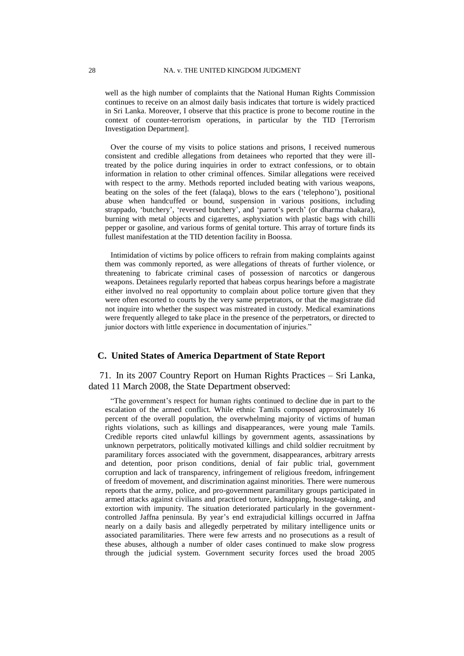well as the high number of complaints that the National Human Rights Commission continues to receive on an almost daily basis indicates that torture is widely practiced in Sri Lanka. Moreover, I observe that this practice is prone to become routine in the context of counter-terrorism operations, in particular by the TID [Terrorism Investigation Department].

Over the course of my visits to police stations and prisons, I received numerous consistent and credible allegations from detainees who reported that they were illtreated by the police during inquiries in order to extract confessions, or to obtain information in relation to other criminal offences. Similar allegations were received with respect to the army. Methods reported included beating with various weapons, beating on the soles of the feet (falaqa), blows to the ears ("telephono"), positional abuse when handcuffed or bound, suspension in various positions, including strappado, 'butchery', 'reversed butchery', and 'parrot's perch' (or dharma chakara), burning with metal objects and cigarettes, asphyxiation with plastic bags with chilli pepper or gasoline, and various forms of genital torture. This array of torture finds its fullest manifestation at the TID detention facility in Boossa.

Intimidation of victims by police officers to refrain from making complaints against them was commonly reported, as were allegations of threats of further violence, or threatening to fabricate criminal cases of possession of narcotics or dangerous weapons. Detainees regularly reported that habeas corpus hearings before a magistrate either involved no real opportunity to complain about police torture given that they were often escorted to courts by the very same perpetrators, or that the magistrate did not inquire into whether the suspect was mistreated in custody. Medical examinations were frequently alleged to take place in the presence of the perpetrators, or directed to junior doctors with little experience in documentation of injuries."

## **C. United States of America Department of State Report**

<span id="page-29-0"></span>71. In its 2007 Country Report on Human Rights Practices – Sri Lanka, dated 11 March 2008, the State Department observed:

"The government"s respect for human rights continued to decline due in part to the escalation of the armed conflict. While ethnic Tamils composed approximately 16 percent of the overall population, the overwhelming majority of victims of human rights violations, such as killings and disappearances, were young male Tamils. Credible reports cited unlawful killings by government agents, assassinations by unknown perpetrators, politically motivated killings and child soldier recruitment by paramilitary forces associated with the government, disappearances, arbitrary arrests and detention, poor prison conditions, denial of fair public trial, government corruption and lack of transparency, infringement of religious freedom, infringement of freedom of movement, and discrimination against minorities. There were numerous reports that the army, police, and pro-government paramilitary groups participated in armed attacks against civilians and practiced torture, kidnapping, hostage-taking, and extortion with impunity. The situation deteriorated particularly in the governmentcontrolled Jaffna peninsula. By year"s end extrajudicial killings occurred in Jaffna nearly on a daily basis and allegedly perpetrated by military intelligence units or associated paramilitaries. There were few arrests and no prosecutions as a result of these abuses, although a number of older cases continued to make slow progress through the judicial system. Government security forces used the broad 2005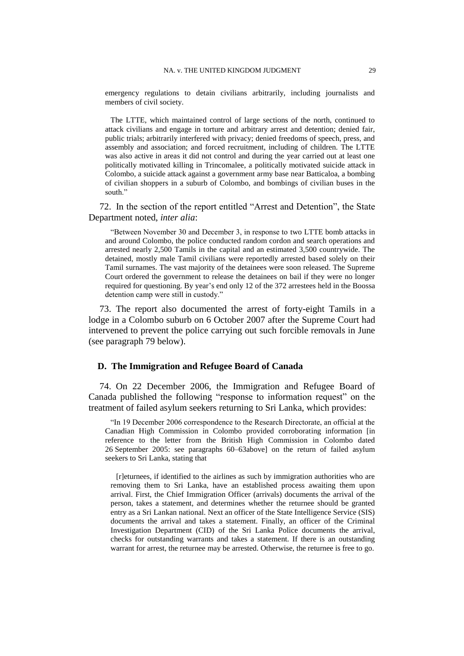emergency regulations to detain civilians arbitrarily, including journalists and members of civil society.

The LTTE, which maintained control of large sections of the north, continued to attack civilians and engage in torture and arbitrary arrest and detention; denied fair, public trials; arbitrarily interfered with privacy; denied freedoms of speech, press, and assembly and association; and forced recruitment, including of children. The LTTE was also active in areas it did not control and during the year carried out at least one politically motivated killing in Trincomalee, a politically motivated suicide attack in Colombo, a suicide attack against a government army base near Batticaloa, a bombing of civilian shoppers in a suburb of Colombo, and bombings of civilian buses in the south."

72. In the section of the report entitled "Arrest and Detention", the State Department noted, *inter alia*:

"Between November 30 and December 3, in response to two LTTE bomb attacks in and around Colombo, the police conducted random cordon and search operations and arrested nearly 2,500 Tamils in the capital and an estimated 3,500 countrywide. The detained, mostly male Tamil civilians were reportedly arrested based solely on their Tamil surnames. The vast majority of the detainees were soon released. The Supreme Court ordered the government to release the detainees on bail if they were no longer required for questioning. By year"s end only 12 of the 372 arrestees held in the Boossa detention camp were still in custody."

73. The report also documented the arrest of forty-eight Tamils in a lodge in a Colombo suburb on 6 October 2007 after the Supreme Court had intervened to prevent the police carrying out such forcible removals in June (see paragraph [79](#page-34-0) below).

#### **D. The Immigration and Refugee Board of Canada**

<span id="page-30-0"></span>74. On 22 December 2006, the Immigration and Refugee Board of Canada published the following "response to information request" on the treatment of failed asylum seekers returning to Sri Lanka, which provides:

"In 19 December 2006 correspondence to the Research Directorate, an official at the Canadian High Commission in Colombo provided corroborating information [in reference to the letter from the British High Commission in Colombo dated 26 September 2005: see paragraphs [60](#page-24-0)[–63a](#page-25-0)bove] on the return of failed asylum seekers to Sri Lanka, stating that

[r]eturnees, if identified to the airlines as such by immigration authorities who are removing them to Sri Lanka, have an established process awaiting them upon arrival. First, the Chief Immigration Officer (arrivals) documents the arrival of the person, takes a statement, and determines whether the returnee should be granted entry as a Sri Lankan national. Next an officer of the State Intelligence Service (SIS) documents the arrival and takes a statement. Finally, an officer of the Criminal Investigation Department (CID) of the Sri Lanka Police documents the arrival, checks for outstanding warrants and takes a statement. If there is an outstanding warrant for arrest, the returnee may be arrested. Otherwise, the returnee is free to go.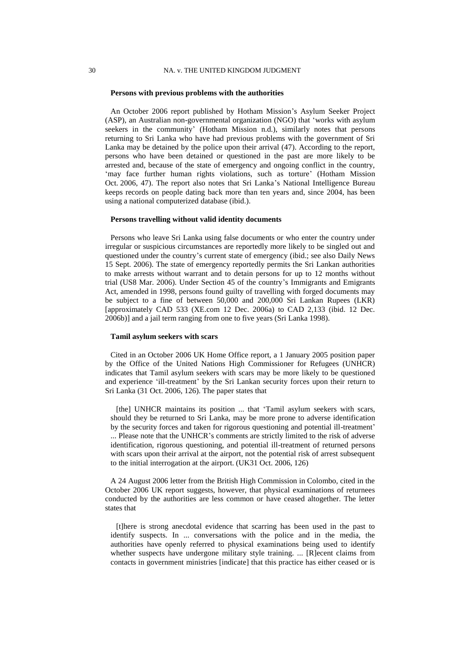#### **Persons with previous problems with the authorities**

An October 2006 report published by Hotham Mission"s Asylum Seeker Project (ASP), an Australian non-governmental organization (NGO) that "works with asylum seekers in the community' (Hotham Mission n.d.), similarly notes that persons returning to Sri Lanka who have had previous problems with the government of Sri Lanka may be detained by the police upon their arrival (47). According to the report, persons who have been detained or questioned in the past are more likely to be arrested and, because of the state of emergency and ongoing conflict in the country, 'may face further human rights violations, such as torture' (Hotham Mission Oct. 2006, 47). The report also notes that Sri Lanka"s National Intelligence Bureau keeps records on people dating back more than ten years and, since 2004, has been using a national computerized database (ibid.).

## **Persons travelling without valid identity documents**

Persons who leave Sri Lanka using false documents or who enter the country under irregular or suspicious circumstances are reportedly more likely to be singled out and questioned under the country"s current state of emergency (ibid.; see also Daily News 15 Sept. 2006). The state of emergency reportedly permits the Sri Lankan authorities to make arrests without warrant and to detain persons for up to 12 months without trial (US8 Mar. 2006). Under Section 45 of the country"s Immigrants and Emigrants Act, amended in 1998, persons found guilty of travelling with forged documents may be subject to a fine of between 50,000 and 200,000 Sri Lankan Rupees (LKR) [approximately CAD 533 (XE.com 12 Dec. 2006a) to CAD 2,133 (ibid. 12 Dec. 2006b)] and a jail term ranging from one to five years (Sri Lanka 1998).

#### **Tamil asylum seekers with scars**

Cited in an October 2006 UK Home Office report, a 1 January 2005 position paper by the Office of the United Nations High Commissioner for Refugees (UNHCR) indicates that Tamil asylum seekers with scars may be more likely to be questioned and experience "ill-treatment" by the Sri Lankan security forces upon their return to Sri Lanka (31 Oct. 2006, 126). The paper states that

[the] UNHCR maintains its position ... that 'Tamil asylum seekers with scars, should they be returned to Sri Lanka, may be more prone to adverse identification by the security forces and taken for rigorous questioning and potential ill-treatment" ... Please note that the UNHCR"s comments are strictly limited to the risk of adverse identification, rigorous questioning, and potential ill-treatment of returned persons with scars upon their arrival at the airport, not the potential risk of arrest subsequent

A 24 August 2006 letter from the British High Commission in Colombo, cited in the October 2006 UK report suggests, however, that physical examinations of returnees conducted by the authorities are less common or have ceased altogether. The letter states that

to the initial interrogation at the airport. (UK31 Oct. 2006, 126)

[t]here is strong anecdotal evidence that scarring has been used in the past to identify suspects. In ... conversations with the police and in the media, the authorities have openly referred to physical examinations being used to identify whether suspects have undergone military style training. ... [R]ecent claims from contacts in government ministries [indicate] that this practice has either ceased or is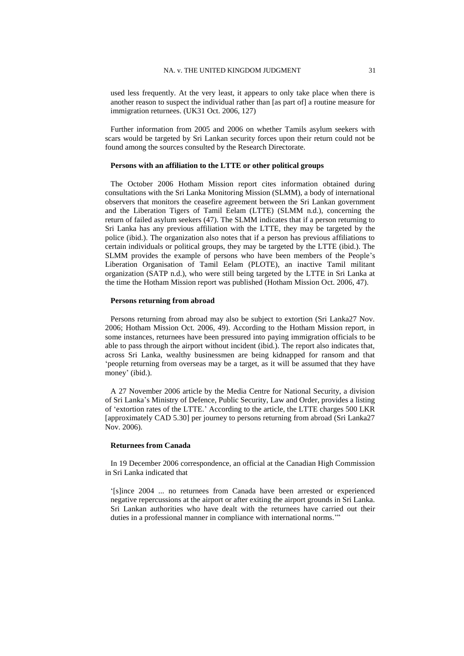used less frequently. At the very least, it appears to only take place when there is another reason to suspect the individual rather than [as part of] a routine measure for immigration returnees. (UK31 Oct. 2006, 127)

Further information from 2005 and 2006 on whether Tamils asylum seekers with scars would be targeted by Sri Lankan security forces upon their return could not be found among the sources consulted by the Research Directorate.

#### **Persons with an affiliation to the LTTE or other political groups**

The October 2006 Hotham Mission report cites information obtained during consultations with the Sri Lanka Monitoring Mission (SLMM), a body of international observers that monitors the ceasefire agreement between the Sri Lankan government and the Liberation Tigers of Tamil Eelam (LTTE) (SLMM n.d.), concerning the return of failed asylum seekers (47). The SLMM indicates that if a person returning to Sri Lanka has any previous affiliation with the LTTE, they may be targeted by the police (ibid.). The organization also notes that if a person has previous affiliations to certain individuals or political groups, they may be targeted by the LTTE (ibid.). The SLMM provides the example of persons who have been members of the People"s Liberation Organisation of Tamil Eelam (PLOTE), an inactive Tamil militant organization (SATP n.d.), who were still being targeted by the LTTE in Sri Lanka at the time the Hotham Mission report was published (Hotham Mission Oct. 2006, 47).

#### **Persons returning from abroad**

Persons returning from abroad may also be subject to extortion (Sri Lanka27 Nov. 2006; Hotham Mission Oct. 2006, 49). According to the Hotham Mission report, in some instances, returnees have been pressured into paying immigration officials to be able to pass through the airport without incident (ibid.). The report also indicates that, across Sri Lanka, wealthy businessmen are being kidnapped for ransom and that "people returning from overseas may be a target, as it will be assumed that they have money' (ibid.).

A 27 November 2006 article by the Media Centre for National Security, a division of Sri Lanka"s Ministry of Defence, Public Security, Law and Order, provides a listing of "extortion rates of the LTTE." According to the article, the LTTE charges 500 LKR [approximately CAD 5.30] per journey to persons returning from abroad (Sri Lanka27 Nov. 2006).

#### **Returnees from Canada**

In 19 December 2006 correspondence, an official at the Canadian High Commission in Sri Lanka indicated that

"[s]ince 2004 ... no returnees from Canada have been arrested or experienced negative repercussions at the airport or after exiting the airport grounds in Sri Lanka. Sri Lankan authorities who have dealt with the returnees have carried out their duties in a professional manner in compliance with international norms.""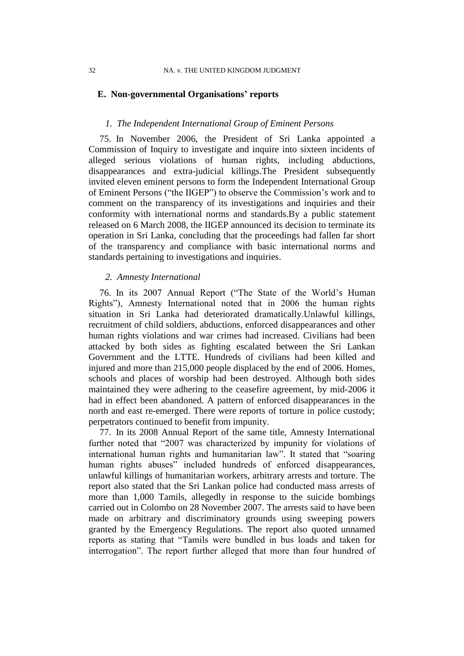## **E. Non-governmental Organisations' reports**

## *1. The Independent International Group of Eminent Persons*

<span id="page-33-1"></span>75. In November 2006, the President of Sri Lanka appointed a Commission of Inquiry to investigate and inquire into sixteen incidents of alleged serious violations of human rights, including abductions, disappearances and extra-judicial killings.The President subsequently invited eleven eminent persons to form the Independent International Group of Eminent Persons ("the IIGEP") to observe the Commission"s work and to comment on the transparency of its investigations and inquiries and their conformity with international norms and standards.By a public statement released on 6 March 2008, the IIGEP announced its decision to terminate its operation in Sri Lanka, concluding that the proceedings had fallen far short of the transparency and compliance with basic international norms and standards pertaining to investigations and inquiries.

## *2. Amnesty International*

<span id="page-33-0"></span>76. In its 2007 Annual Report ("The State of the World"s Human Rights"), Amnesty International noted that in 2006 the human rights situation in Sri Lanka had deteriorated dramatically.Unlawful killings, recruitment of child soldiers, abductions, enforced disappearances and other human rights violations and war crimes had increased. Civilians had been attacked by both sides as fighting escalated between the Sri Lankan Government and the LTTE. Hundreds of civilians had been killed and injured and more than 215,000 people displaced by the end of 2006. Homes, schools and places of worship had been destroyed. Although both sides maintained they were adhering to the ceasefire agreement, by mid-2006 it had in effect been abandoned. A pattern of enforced disappearances in the north and east re-emerged. There were reports of torture in police custody; perpetrators continued to benefit from impunity.

<span id="page-33-2"></span>77. In its 2008 Annual Report of the same title, Amnesty International further noted that "2007 was characterized by impunity for violations of international human rights and humanitarian law". It stated that "soaring human rights abuses" included hundreds of enforced disappearances, unlawful killings of humanitarian workers, arbitrary arrests and torture. The report also stated that the Sri Lankan police had conducted mass arrests of more than 1,000 Tamils, allegedly in response to the suicide bombings carried out in Colombo on 28 November 2007. The arrests said to have been made on arbitrary and discriminatory grounds using sweeping powers granted by the Emergency Regulations. The report also quoted unnamed reports as stating that "Tamils were bundled in bus loads and taken for interrogation". The report further alleged that more than four hundred of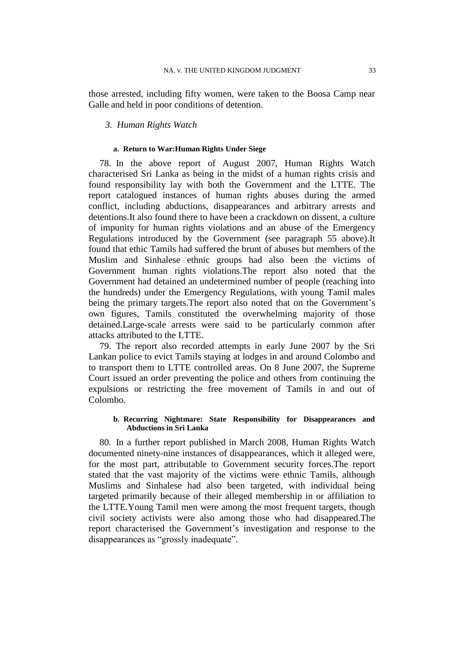those arrested, including fifty women, were taken to the Boosa Camp near Galle and held in poor conditions of detention.

## *3. Human Rights Watch*

#### **a. Return to War:Human Rights Under Siege**

<span id="page-34-1"></span>78. In the above report of August 2007, Human Rights Watch characterised Sri Lanka as being in the midst of a human rights crisis and found responsibility lay with both the Government and the LTTE. The report catalogued instances of human rights abuses during the armed conflict, including abductions, disappearances and arbitrary arrests and detentions.It also found there to have been a crackdown on dissent, a culture of impunity for human rights violations and an abuse of the Emergency Regulations introduced by the Government (see paragraph [55](#page-21-0) above).It found that ethic Tamils had suffered the brunt of abuses but members of the Muslim and Sinhalese ethnic groups had also been the victims of Government human rights violations.The report also noted that the Government had detained an undetermined number of people (reaching into the hundreds) under the Emergency Regulations, with young Tamil males being the primary targets. The report also noted that on the Government's own figures, Tamils constituted the overwhelming majority of those detained.Large-scale arrests were said to be particularly common after attacks attributed to the LTTE.

<span id="page-34-0"></span>79. The report also recorded attempts in early June 2007 by the Sri Lankan police to evict Tamils staying at lodges in and around Colombo and to transport them to LTTE controlled areas. On 8 June 2007, the Supreme Court issued an order preventing the police and others from continuing the expulsions or restricting the free movement of Tamils in and out of Colombo.

#### **b. Recurring Nightmare: State Responsibility for Disappearances and Abductions in Sri Lanka**

<span id="page-34-2"></span>80. In a further report published in March 2008, Human Rights Watch documented ninety-nine instances of disappearances, which it alleged were, for the most part, attributable to Government security forces.The report stated that the vast majority of the victims were ethnic Tamils, although Muslims and Sinhalese had also been targeted, with individual being targeted primarily because of their alleged membership in or affiliation to the LTTE.Young Tamil men were among the most frequent targets, though civil society activists were also among those who had disappeared.The report characterised the Government"s investigation and response to the disappearances as "grossly inadequate".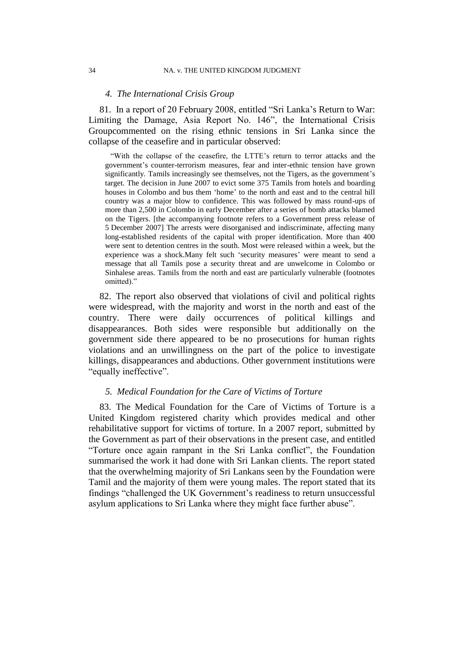#### *4. The International Crisis Group*

81. In a report of 20 February 2008, entitled "Sri Lanka"s Return to War: Limiting the Damage, Asia Report No. 146", the International Crisis Groupcommented on the rising ethnic tensions in Sri Lanka since the collapse of the ceasefire and in particular observed:

"With the collapse of the ceasefire, the LTTE"s return to terror attacks and the government"s counter-terrorism measures, fear and inter-ethnic tension have grown significantly. Tamils increasingly see themselves, not the Tigers, as the government's target. The decision in June 2007 to evict some 375 Tamils from hotels and boarding houses in Colombo and bus them "home" to the north and east and to the central hill country was a major blow to confidence. This was followed by mass round-ups of more than 2,500 in Colombo in early December after a series of bomb attacks blamed on the Tigers. [the accompanying footnote refers to a Government press release of 5 December 2007] The arrests were disorganised and indiscriminate, affecting many long-established residents of the capital with proper identification. More than 400 were sent to detention centres in the south. Most were released within a week, but the experience was a shock.Many felt such 'security measures' were meant to send a message that all Tamils pose a security threat and are unwelcome in Colombo or Sinhalese areas. Tamils from the north and east are particularly vulnerable (footnotes omitted)."

82. The report also observed that violations of civil and political rights were widespread, with the majority and worst in the north and east of the country. There were daily occurrences of political killings and disappearances. Both sides were responsible but additionally on the government side there appeared to be no prosecutions for human rights violations and an unwillingness on the part of the police to investigate killings, disappearances and abductions. Other government institutions were "equally ineffective".

## *5. Medical Foundation for the Care of Victims of Torture*

<span id="page-35-0"></span>83. The Medical Foundation for the Care of Victims of Torture is a United Kingdom registered charity which provides medical and other rehabilitative support for victims of torture. In a 2007 report, submitted by the Government as part of their observations in the present case, and entitled "Torture once again rampant in the Sri Lanka conflict", the Foundation summarised the work it had done with Sri Lankan clients. The report stated that the overwhelming majority of Sri Lankans seen by the Foundation were Tamil and the majority of them were young males. The report stated that its findings "challenged the UK Government's readiness to return unsuccessful asylum applications to Sri Lanka where they might face further abuse".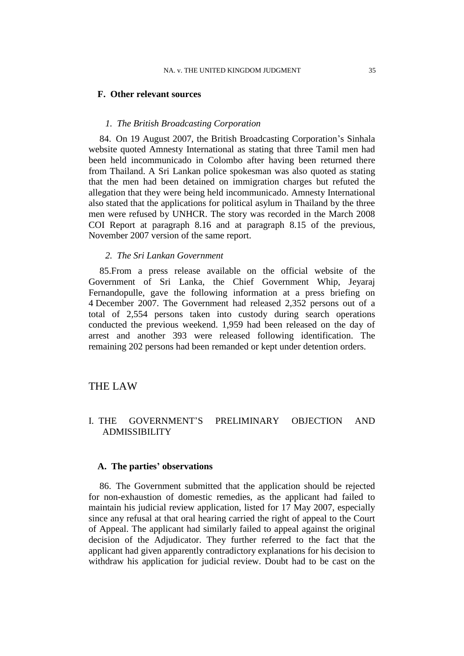#### **F. Other relevant sources**

## *1. The British Broadcasting Corporation*

<span id="page-36-0"></span>84. On 19 August 2007, the British Broadcasting Corporation's Sinhala website quoted Amnesty International as stating that three Tamil men had been held incommunicado in Colombo after having been returned there from Thailand. A Sri Lankan police spokesman was also quoted as stating that the men had been detained on immigration charges but refuted the allegation that they were being held incommunicado. Amnesty International also stated that the applications for political asylum in Thailand by the three men were refused by UNHCR. The story was recorded in the March 2008 COI Report at paragraph 8.16 and at paragraph 8.15 of the previous, November 2007 version of the same report.

#### *2. The Sri Lankan Government*

<span id="page-36-1"></span>85.From a press release available on the official website of the Government of Sri Lanka, the Chief Government Whip, Jeyaraj Fernandopulle, gave the following information at a press briefing on 4 December 2007. The Government had released 2,352 persons out of a total of 2,554 persons taken into custody during search operations conducted the previous weekend. 1,959 had been released on the day of arrest and another 393 were released following identification. The remaining 202 persons had been remanded or kept under detention orders.

## THE LAW

# I. THE GOVERNMENT"S PRELIMINARY OBJECTION AND ADMISSIBILITY

## **A. The parties' observations**

86. The Government submitted that the application should be rejected for non-exhaustion of domestic remedies, as the applicant had failed to maintain his judicial review application, listed for 17 May 2007, especially since any refusal at that oral hearing carried the right of appeal to the Court of Appeal. The applicant had similarly failed to appeal against the original decision of the Adjudicator. They further referred to the fact that the applicant had given apparently contradictory explanations for his decision to withdraw his application for judicial review. Doubt had to be cast on the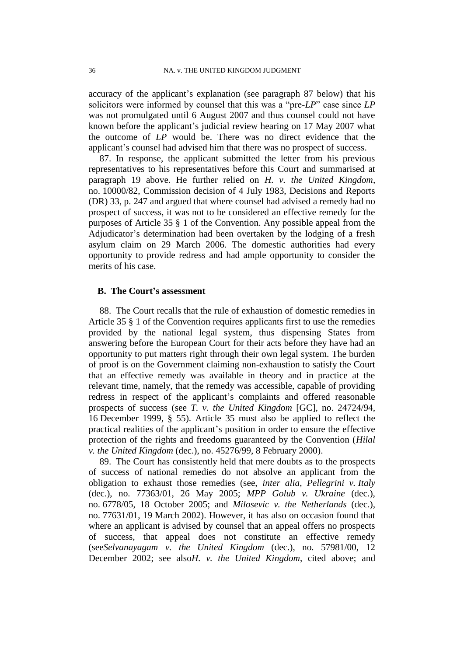accuracy of the applicant's explanation (see paragraph [87](#page-37-0) below) that his solicitors were informed by counsel that this was a "pre-*LP*" case since *LP* was not promulgated until 6 August 2007 and thus counsel could not have known before the applicant"s judicial review hearing on 17 May 2007 what the outcome of *LP* would be. There was no direct evidence that the applicant"s counsel had advised him that there was no prospect of success.

<span id="page-37-0"></span>87. In response, the applicant submitted the letter from his previous representatives to his representatives before this Court and summarised at paragraph [19](#page-6-0) above. He further relied on *H. v. the United Kingdom*, no. 10000/82, Commission decision of 4 July 1983, Decisions and Reports (DR) 33, p. 247 and argued that where counsel had advised a remedy had no prospect of success, it was not to be considered an effective remedy for the purposes of Article 35 § 1 of the Convention. Any possible appeal from the Adjudicator's determination had been overtaken by the lodging of a fresh asylum claim on 29 March 2006. The domestic authorities had every opportunity to provide redress and had ample opportunity to consider the merits of his case.

#### **B. The Court's assessment**

88. The Court recalls that the rule of exhaustion of domestic remedies in Article 35 § 1 of the Convention requires applicants first to use the remedies provided by the national legal system, thus dispensing States from answering before the European Court for their acts before they have had an opportunity to put matters right through their own legal system. The burden of proof is on the Government claiming non-exhaustion to satisfy the Court that an effective remedy was available in theory and in practice at the relevant time, namely, that the remedy was accessible, capable of providing redress in respect of the applicant"s complaints and offered reasonable prospects of success (see *T. v. the United Kingdom* [GC], no. 24724/94, 16 December 1999, § 55). Article 35 must also be applied to reflect the practical realities of the applicant"s position in order to ensure the effective protection of the rights and freedoms guaranteed by the Convention (*Hilal v. the United Kingdom* (dec.), no. 45276/99, 8 February 2000).

89. The Court has consistently held that mere doubts as to the prospects of success of national remedies do not absolve an applicant from the obligation to exhaust those remedies (see, *inter alia*, *Pellegrini v. Italy* (dec.), no. 77363/01, 26 May 2005; *MPP Golub v. Ukraine* (dec.), no. 6778/05, 18 October 2005; and *Milosevic v. the Netherlands* (dec.), no. 77631/01, 19 March 2002). However, it has also on occasion found that where an applicant is advised by counsel that an appeal offers no prospects of success, that appeal does not constitute an effective remedy (see*Selvanayagam v. the United Kingdom* (dec.), no. 57981/00, 12 December 2002; see also*H. v. the United Kingdom*, cited above; and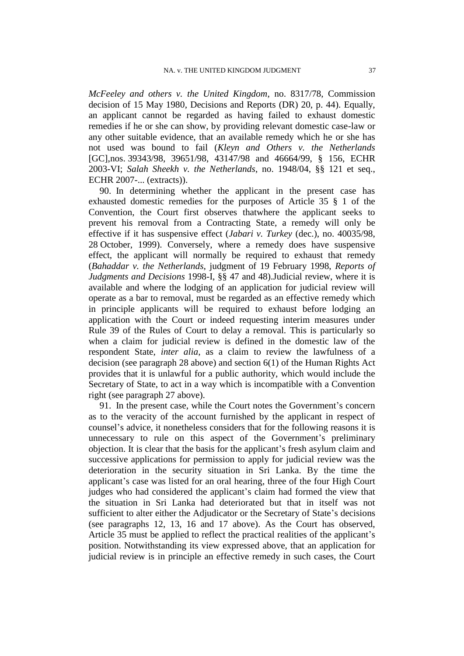*McFeeley and others v. the United Kingdom*, no. 8317/78, Commission decision of 15 May 1980, Decisions and Reports (DR) 20, p. 44). Equally, an applicant cannot be regarded as having failed to exhaust domestic remedies if he or she can show, by providing relevant domestic case-law or any other suitable evidence, that an available remedy which he or she has not used was bound to fail (*Kleyn and Others v. the Netherlands*  [GC],nos. 39343/98, 39651/98, 43147/98 and 46664/99, § 156, ECHR 2003-VI; *Salah Sheekh v. the Netherlands*, no. 1948/04, §§ 121 et seq., ECHR 2007-... (extracts)).

90. In determining whether the applicant in the present case has exhausted domestic remedies for the purposes of Article 35 § 1 of the Convention, the Court first observes thatwhere the applicant seeks to prevent his removal from a Contracting State, a remedy will only be effective if it has suspensive effect (*Jabari v. Turkey* (dec.), no. 40035/98, 28 October, 1999). Conversely, where a remedy does have suspensive effect, the applicant will normally be required to exhaust that remedy (*Bahaddar v. the Netherlands*, judgment of 19 February 1998, *Reports of Judgments and Decisions* 1998-I, §§ 47 and 48).Judicial review, where it is available and where the lodging of an application for judicial review will operate as a bar to removal, must be regarded as an effective remedy which in principle applicants will be required to exhaust before lodging an application with the Court or indeed requesting interim measures under Rule 39 of the Rules of Court to delay a removal. This is particularly so when a claim for judicial review is defined in the domestic law of the respondent State, *inter alia*, as a claim to review the lawfulness of a decision (see paragraph [28](#page-9-0) above) and section 6(1) of the Human Rights Act provides that it is unlawful for a public authority, which would include the Secretary of State, to act in a way which is incompatible with a Convention right (see paragraph [27](#page-9-1) above).

<span id="page-38-0"></span>91. In the present case, while the Court notes the Government"s concern as to the veracity of the account furnished by the applicant in respect of counsel"s advice, it nonetheless considers that for the following reasons it is unnecessary to rule on this aspect of the Government's preliminary objection. It is clear that the basis for the applicant"s fresh asylum claim and successive applications for permission to apply for judicial review was the deterioration in the security situation in Sri Lanka. By the time the applicant's case was listed for an oral hearing, three of the four High Court judges who had considered the applicant's claim had formed the view that the situation in Sri Lanka had deteriorated but that in itself was not sufficient to alter either the Adjudicator or the Secretary of State's decisions (see paragraphs 12, 13, 16 and 17 above). As the Court has observed, Article 35 must be applied to reflect the practical realities of the applicant"s position. Notwithstanding its view expressed above, that an application for judicial review is in principle an effective remedy in such cases, the Court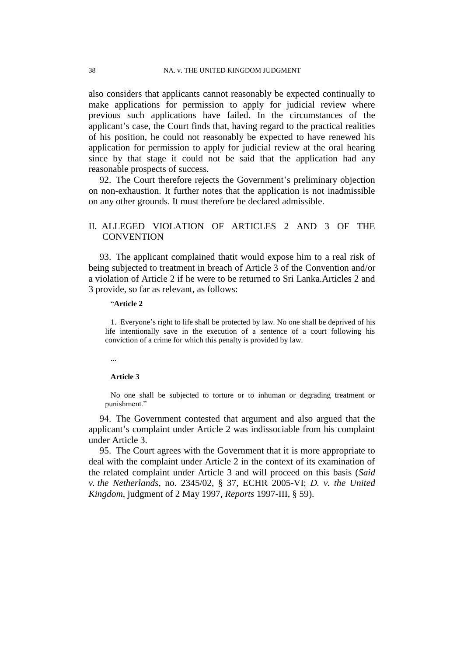also considers that applicants cannot reasonably be expected continually to make applications for permission to apply for judicial review where previous such applications have failed. In the circumstances of the applicant"s case, the Court finds that, having regard to the practical realities of his position, he could not reasonably be expected to have renewed his application for permission to apply for judicial review at the oral hearing since by that stage it could not be said that the application had any reasonable prospects of success.

92. The Court therefore rejects the Government's preliminary objection on non-exhaustion. It further notes that the application is not inadmissible on any other grounds. It must therefore be declared admissible.

# II. ALLEGED VIOLATION OF ARTICLES 2 AND 3 OF THE **CONVENTION**

93. The applicant complained thatit would expose him to a real risk of being subjected to treatment in breach of Article 3 of the Convention and/or a violation of Article 2 if he were to be returned to Sri Lanka.Articles 2 and 3 provide, so far as relevant, as follows:

#### "**Article 2**

1. Everyone's right to life shall be protected by law. No one shall be deprived of his life intentionally save in the execution of a sentence of a court following his conviction of a crime for which this penalty is provided by law.

...

#### **Article 3**

No one shall be subjected to torture or to inhuman or degrading treatment or punishment."

94. The Government contested that argument and also argued that the applicant"s complaint under Article 2 was indissociable from his complaint under Article 3.

95. The Court agrees with the Government that it is more appropriate to deal with the complaint under Article 2 in the context of its examination of the related complaint under Article 3 and will proceed on this basis (*Said v. the Netherlands*, no. 2345/02, § 37, ECHR 2005-VI; *D. v. the United Kingdom*, judgment of 2 May 1997, *Reports* 1997-III, § 59).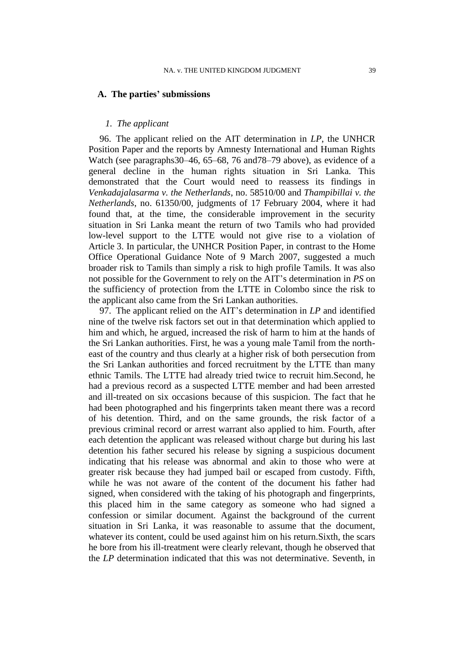#### **A. The parties' submissions**

## *1. The applicant*

<span id="page-40-0"></span>96. The applicant relied on the AIT determination in *LP*, the UNHCR Position Paper and the reports by Amnesty International and Human Rights Watch (see paragraph[s30](#page-10-0)[–46,](#page-16-0) [65](#page-26-0)[–68,](#page-27-0) [76](#page-33-0) an[d78](#page-34-1)[–79](#page-34-0) above), as evidence of a general decline in the human rights situation in Sri Lanka. This demonstrated that the Court would need to reassess its findings in *Venkadajalasarma v. the Netherlands*, no. 58510/00 and *Thampibillai v. the Netherlands*, no. 61350/00, judgments of 17 February 2004, where it had found that, at the time, the considerable improvement in the security situation in Sri Lanka meant the return of two Tamils who had provided low-level support to the LTTE would not give rise to a violation of Article 3. In particular, the UNHCR Position Paper, in contrast to the Home Office Operational Guidance Note of 9 March 2007, suggested a much broader risk to Tamils than simply a risk to high profile Tamils. It was also not possible for the Government to rely on the AIT"s determination in *PS* on the sufficiency of protection from the LTTE in Colombo since the risk to the applicant also came from the Sri Lankan authorities.

97. The applicant relied on the AIT"s determination in *LP* and identified nine of the twelve risk factors set out in that determination which applied to him and which, he argued, increased the risk of harm to him at the hands of the Sri Lankan authorities. First, he was a young male Tamil from the northeast of the country and thus clearly at a higher risk of both persecution from the Sri Lankan authorities and forced recruitment by the LTTE than many ethnic Tamils. The LTTE had already tried twice to recruit him.Second, he had a previous record as a suspected LTTE member and had been arrested and ill-treated on six occasions because of this suspicion. The fact that he had been photographed and his fingerprints taken meant there was a record of his detention. Third, and on the same grounds, the risk factor of a previous criminal record or arrest warrant also applied to him. Fourth, after each detention the applicant was released without charge but during his last detention his father secured his release by signing a suspicious document indicating that his release was abnormal and akin to those who were at greater risk because they had jumped bail or escaped from custody. Fifth, while he was not aware of the content of the document his father had signed, when considered with the taking of his photograph and fingerprints, this placed him in the same category as someone who had signed a confession or similar document. Against the background of the current situation in Sri Lanka, it was reasonable to assume that the document, whatever its content, could be used against him on his return.Sixth, the scars he bore from his ill-treatment were clearly relevant, though he observed that the *LP* determination indicated that this was not determinative. Seventh, in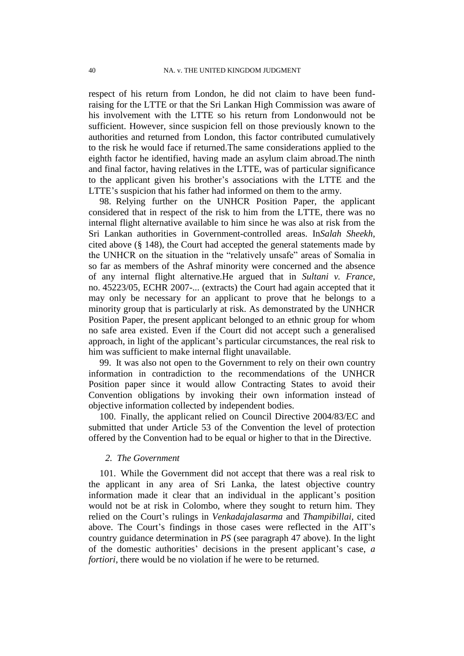respect of his return from London, he did not claim to have been fundraising for the LTTE or that the Sri Lankan High Commission was aware of his involvement with the LTTE so his return from Londonwould not be sufficient. However, since suspicion fell on those previously known to the authorities and returned from London, this factor contributed cumulatively to the risk he would face if returned.The same considerations applied to the eighth factor he identified, having made an asylum claim abroad.The ninth and final factor, having relatives in the LTTE, was of particular significance to the applicant given his brother"s associations with the LTTE and the LTTE's suspicion that his father had informed on them to the army.

98. Relying further on the UNHCR Position Paper, the applicant considered that in respect of the risk to him from the LTTE, there was no internal flight alternative available to him since he was also at risk from the Sri Lankan authorities in Government-controlled areas. In*Salah Sheekh*, cited above (§ 148), the Court had accepted the general statements made by the UNHCR on the situation in the "relatively unsafe" areas of Somalia in so far as members of the Ashraf minority were concerned and the absence of any internal flight alternative.He argued that in *Sultani v. France*, no. 45223/05, ECHR 2007-... (extracts) the Court had again accepted that it may only be necessary for an applicant to prove that he belongs to a minority group that is particularly at risk. As demonstrated by the UNHCR Position Paper, the present applicant belonged to an ethnic group for whom no safe area existed. Even if the Court did not accept such a generalised approach, in light of the applicant"s particular circumstances, the real risk to him was sufficient to make internal flight unavailable.

99. It was also not open to the Government to rely on their own country information in contradiction to the recommendations of the UNHCR Position paper since it would allow Contracting States to avoid their Convention obligations by invoking their own information instead of objective information collected by independent bodies.

<span id="page-41-0"></span>100. Finally, the applicant relied on Council Directive 2004/83/EC and submitted that under Article 53 of the Convention the level of protection offered by the Convention had to be equal or higher to that in the Directive.

## *2. The Government*

101. While the Government did not accept that there was a real risk to the applicant in any area of Sri Lanka, the latest objective country information made it clear that an individual in the applicant's position would not be at risk in Colombo, where they sought to return him. They relied on the Court"s rulings in *Venkadajalasarma* and *Thampibillai*, cited above. The Court's findings in those cases were reflected in the AIT's country guidance determination in *PS* (see paragraph [47](#page-16-1) above). In the light of the domestic authorities" decisions in the present applicant"s case, *a fortiori*, there would be no violation if he were to be returned.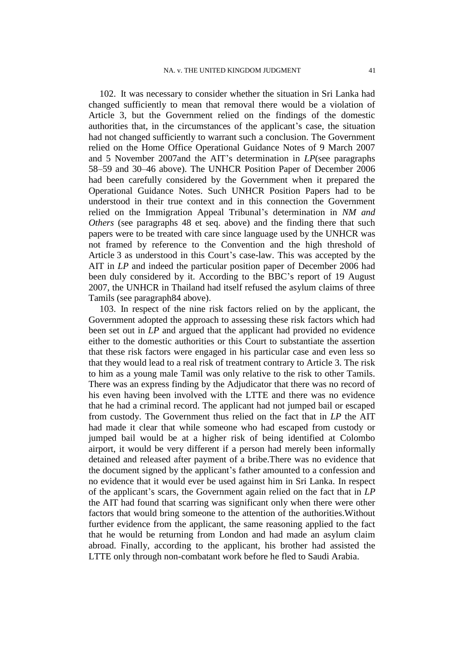<span id="page-42-0"></span>102. It was necessary to consider whether the situation in Sri Lanka had changed sufficiently to mean that removal there would be a violation of Article 3, but the Government relied on the findings of the domestic authorities that, in the circumstances of the applicant"s case, the situation had not changed sufficiently to warrant such a conclusion. The Government relied on the Home Office Operational Guidance Notes of 9 March 2007 and 5 November 2007and the AIT"s determination in *LP*(see paragraphs [58](#page-22-0)[–59](#page-23-0) and [30–](#page-10-0)[46](#page-16-0) above). The UNHCR Position Paper of December 2006 had been carefully considered by the Government when it prepared the Operational Guidance Notes. Such UNHCR Position Papers had to be understood in their true context and in this connection the Government relied on the Immigration Appeal Tribunal"s determination in *NM and Others* (see paragraphs [48](#page-17-0) et seq. above) and the finding there that such papers were to be treated with care since language used by the UNHCR was not framed by reference to the Convention and the high threshold of Article 3 as understood in this Court's case-law. This was accepted by the AIT in *LP* and indeed the particular position paper of December 2006 had been duly considered by it. According to the BBC"s report of 19 August 2007, the UNHCR in Thailand had itself refused the asylum claims of three Tamils (see paragrap[h84](#page-36-0) above).

103. In respect of the nine risk factors relied on by the applicant, the Government adopted the approach to assessing these risk factors which had been set out in *LP* and argued that the applicant had provided no evidence either to the domestic authorities or this Court to substantiate the assertion that these risk factors were engaged in his particular case and even less so that they would lead to a real risk of treatment contrary to Article 3. The risk to him as a young male Tamil was only relative to the risk to other Tamils. There was an express finding by the Adjudicator that there was no record of his even having been involved with the LTTE and there was no evidence that he had a criminal record. The applicant had not jumped bail or escaped from custody. The Government thus relied on the fact that in *LP* the AIT had made it clear that while someone who had escaped from custody or jumped bail would be at a higher risk of being identified at Colombo airport, it would be very different if a person had merely been informally detained and released after payment of a bribe.There was no evidence that the document signed by the applicant"s father amounted to a confession and no evidence that it would ever be used against him in Sri Lanka. In respect of the applicant"s scars, the Government again relied on the fact that in *LP* the AIT had found that scarring was significant only when there were other factors that would bring someone to the attention of the authorities.Without further evidence from the applicant, the same reasoning applied to the fact that he would be returning from London and had made an asylum claim abroad. Finally, according to the applicant, his brother had assisted the LTTE only through non-combatant work before he fled to Saudi Arabia.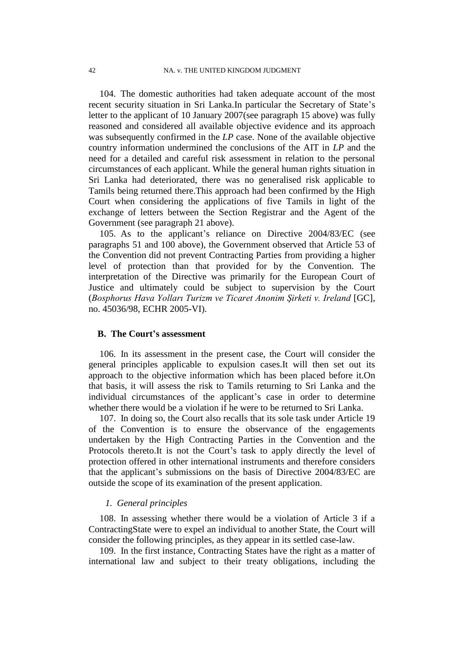104. The domestic authorities had taken adequate account of the most recent security situation in Sri Lanka.In particular the Secretary of State"s letter to the applicant of 10 January 2007(see paragraph [15](#page-5-0) above) was fully reasoned and considered all available objective evidence and its approach was subsequently confirmed in the *LP* case. None of the available objective country information undermined the conclusions of the AIT in *LP* and the need for a detailed and careful risk assessment in relation to the personal circumstances of each applicant. While the general human rights situation in Sri Lanka had deteriorated, there was no generalised risk applicable to Tamils being returned there.This approach had been confirmed by the High Court when considering the applications of five Tamils in light of the exchange of letters between the Section Registrar and the Agent of the Government (see paragraph [21](#page-7-0) above).

105. As to the applicant"s reliance on Directive 2004/83/EC (see paragraphs [51](#page-20-0) and [100](#page-41-0) above), the Government observed that Article 53 of the Convention did not prevent Contracting Parties from providing a higher level of protection than that provided for by the Convention. The interpretation of the Directive was primarily for the European Court of Justice and ultimately could be subject to supervision by the Court (*Bosphorus Hava Yolları Turizm ve Ticaret Anonim Şirketi v. Ireland* [GC], no. 45036/98, ECHR 2005-VI).

#### **B. The Court's assessment**

106. In its assessment in the present case, the Court will consider the general principles applicable to expulsion cases.It will then set out its approach to the objective information which has been placed before it.On that basis, it will assess the risk to Tamils returning to Sri Lanka and the individual circumstances of the applicant's case in order to determine whether there would be a violation if he were to be returned to Sri Lanka.

107. In doing so, the Court also recalls that its sole task under Article 19 of the Convention is to ensure the observance of the engagements undertaken by the High Contracting Parties in the Convention and the Protocols thereto.It is not the Court's task to apply directly the level of protection offered in other international instruments and therefore considers that the applicant"s submissions on the basis of Directive 2004/83/EC are outside the scope of its examination of the present application.

#### *1. General principles*

108. In assessing whether there would be a violation of Article 3 if a ContractingState were to expel an individual to another State, the Court will consider the following principles, as they appear in its settled case-law.

109. In the first instance, Contracting States have the right as a matter of international law and subject to their treaty obligations, including the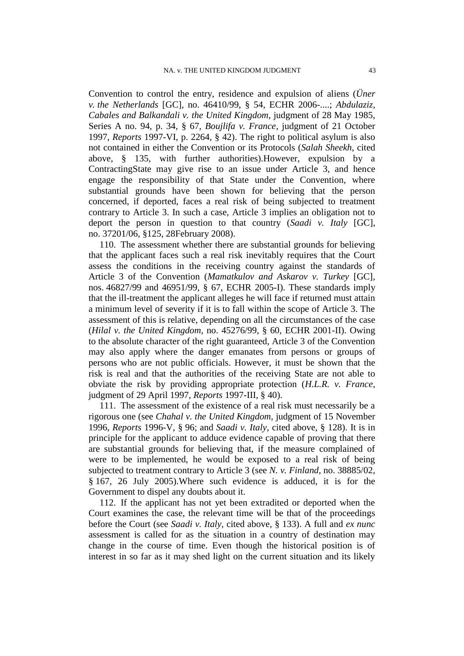Convention to control the entry, residence and expulsion of aliens (*Üner v. the Netherlands* [GC], no. 46410/99, § 54, ECHR 2006-....; *Abdulaziz, Cabales and Balkandali v. the United Kingdom*, judgment of 28 May 1985, Series A no. 94, p. 34, § 67, *Boujlifa v. France*, judgment of 21 October 1997, *Reports* 1997-VI, p. 2264, § 42). The right to political asylum is also not contained in either the Convention or its Protocols (*Salah Sheekh*, cited above, § 135, with further authorities).However, expulsion by a ContractingState may give rise to an issue under Article 3, and hence engage the responsibility of that State under the Convention, where substantial grounds have been shown for believing that the person concerned, if deported, faces a real risk of being subjected to treatment contrary to Article 3. In such a case, Article 3 implies an obligation not to deport the person in question to that country (*Saadi v. Italy* [GC], no. 37201/06, §125, 28February 2008).

110. The assessment whether there are substantial grounds for believing that the applicant faces such a real risk inevitably requires that the Court assess the conditions in the receiving country against the standards of Article 3 of the Convention (*Mamatkulov and Askarov v. Turkey* [GC], nos. 46827/99 and 46951/99, § 67, ECHR 2005-I). These standards imply that the ill-treatment the applicant alleges he will face if returned must attain a minimum level of severity if it is to fall within the scope of Article 3. The assessment of this is relative, depending on all the circumstances of the case (*Hilal v. the United Kingdom*, no. 45276/99, § 60, ECHR 2001-II). Owing to the absolute character of the right guaranteed, Article 3 of the Convention may also apply where the danger emanates from persons or groups of persons who are not public officials. However, it must be shown that the risk is real and that the authorities of the receiving State are not able to obviate the risk by providing appropriate protection (*H.L.R. v. France*, judgment of 29 April 1997, *Reports* 1997-III, § 40).

111. The assessment of the existence of a real risk must necessarily be a rigorous one (see *Chahal v. the United Kingdom*, judgment of 15 November 1996, *Reports* 1996-V, § 96; and *Saadi v. Italy*, cited above, § 128). It is in principle for the applicant to adduce evidence capable of proving that there are substantial grounds for believing that, if the measure complained of were to be implemented, he would be exposed to a real risk of being subjected to treatment contrary to Article 3 (see *N. v. Finland*, no. 38885/02, § 167, 26 July 2005).Where such evidence is adduced, it is for the Government to dispel any doubts about it.

<span id="page-44-0"></span>112. If the applicant has not yet been extradited or deported when the Court examines the case, the relevant time will be that of the proceedings before the Court (see *Saadi v. Italy*, cited above, § 133). A full and *ex nunc* assessment is called for as the situation in a country of destination may change in the course of time. Even though the historical position is of interest in so far as it may shed light on the current situation and its likely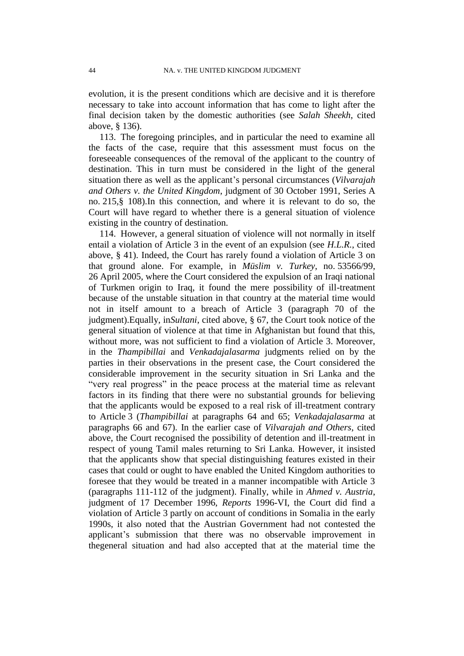evolution, it is the present conditions which are decisive and it is therefore necessary to take into account information that has come to light after the final decision taken by the domestic authorities (see *Salah Sheekh*, cited above, § 136).

113. The foregoing principles, and in particular the need to examine all the facts of the case, require that this assessment must focus on the foreseeable consequences of the removal of the applicant to the country of destination. This in turn must be considered in the light of the general situation there as well as the applicant"s personal circumstances (*Vilvarajah and Others v. the United Kingdom*, judgment of 30 October 1991, Series A no. 215,§ 108).In this connection, and where it is relevant to do so, the Court will have regard to whether there is a general situation of violence existing in the country of destination.

114. However, a general situation of violence will not normally in itself entail a violation of Article 3 in the event of an expulsion (see *H.L.R.*, cited above, § 41). Indeed, the Court has rarely found a violation of Article 3 on that ground alone. For example, in *Müslim v. Turkey*, no. 53566/99, 26 April 2005, where the Court considered the expulsion of an Iraqi national of Turkmen origin to Iraq, it found the mere possibility of ill-treatment because of the unstable situation in that country at the material time would not in itself amount to a breach of Article 3 (paragraph 70 of the judgment).Equally, in*Sultani*, cited above, § 67, the Court took notice of the general situation of violence at that time in Afghanistan but found that this, without more, was not sufficient to find a violation of Article 3. Moreover, in the *Thampibillai* and *Venkadajalasarma* judgments relied on by the parties in their observations in the present case, the Court considered the considerable improvement in the security situation in Sri Lanka and the "very real progress" in the peace process at the material time as relevant factors in its finding that there were no substantial grounds for believing that the applicants would be exposed to a real risk of ill-treatment contrary to Article 3 (*Thampibillai* at paragraphs 64 and 65; *Venkadajalasarma* at paragraphs 66 and 67). In the earlier case of *Vilvarajah and Others*, cited above, the Court recognised the possibility of detention and ill-treatment in respect of young Tamil males returning to Sri Lanka. However, it insisted that the applicants show that special distinguishing features existed in their cases that could or ought to have enabled the United Kingdom authorities to foresee that they would be treated in a manner incompatible with Article 3 (paragraphs 111-112 of the judgment). Finally, while in *Ahmed v. Austria*, judgment of 17 December 1996, *Reports* 1996-VI, the Court did find a violation of Article 3 partly on account of conditions in Somalia in the early 1990s, it also noted that the Austrian Government had not contested the applicant"s submission that there was no observable improvement in thegeneral situation and had also accepted that at the material time the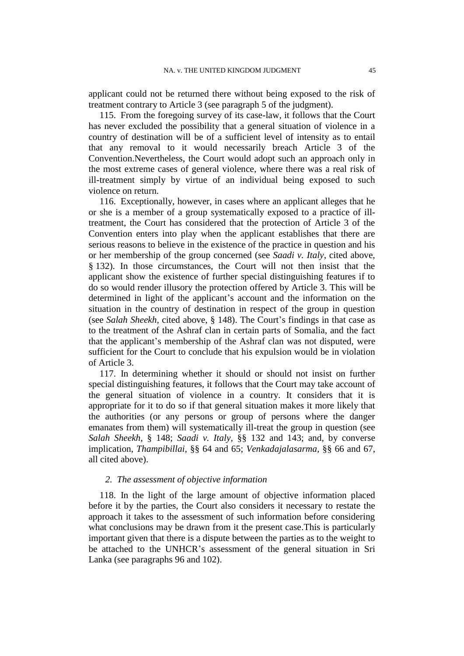applicant could not be returned there without being exposed to the risk of treatment contrary to Article 3 (see paragraph 5 of the judgment).

115. From the foregoing survey of its case-law, it follows that the Court has never excluded the possibility that a general situation of violence in a country of destination will be of a sufficient level of intensity as to entail that any removal to it would necessarily breach Article 3 of the Convention.Nevertheless, the Court would adopt such an approach only in the most extreme cases of general violence, where there was a real risk of ill-treatment simply by virtue of an individual being exposed to such violence on return.

<span id="page-46-1"></span>116. Exceptionally, however, in cases where an applicant alleges that he or she is a member of a group systematically exposed to a practice of illtreatment, the Court has considered that the protection of Article 3 of the Convention enters into play when the applicant establishes that there are serious reasons to believe in the existence of the practice in question and his or her membership of the group concerned (see *Saadi v. Italy*, cited above, § 132). In those circumstances, the Court will not then insist that the applicant show the existence of further special distinguishing features if to do so would render illusory the protection offered by Article 3. This will be determined in light of the applicant's account and the information on the situation in the country of destination in respect of the group in question (see *Salah Sheekh*, cited above, § 148). The Court's findings in that case as to the treatment of the Ashraf clan in certain parts of Somalia, and the fact that the applicant"s membership of the Ashraf clan was not disputed, were sufficient for the Court to conclude that his expulsion would be in violation of Article 3.

<span id="page-46-2"></span>117. In determining whether it should or should not insist on further special distinguishing features, it follows that the Court may take account of the general situation of violence in a country. It considers that it is appropriate for it to do so if that general situation makes it more likely that the authorities (or any persons or group of persons where the danger emanates from them) will systematically ill-treat the group in question (see *Salah Sheekh*, § 148; *Saadi v. Italy*, §§ 132 and 143; and, by converse implication, *Thampibillai,* §§ 64 and 65; *Venkadajalasarma,* §§ 66 and 67, all cited above).

## *2. The assessment of objective information*

<span id="page-46-0"></span>118. In the light of the large amount of objective information placed before it by the parties, the Court also considers it necessary to restate the approach it takes to the assessment of such information before considering what conclusions may be drawn from it the present case.This is particularly important given that there is a dispute between the parties as to the weight to be attached to the UNHCR's assessment of the general situation in Sri Lanka (see paragraphs [96](#page-40-0) and [102\)](#page-42-0).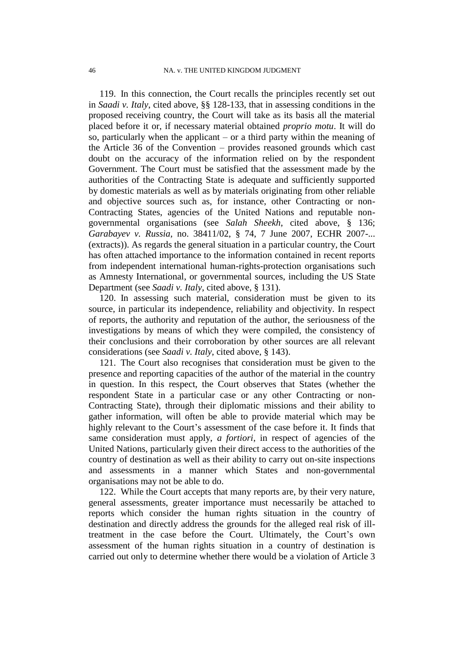119. In this connection, the Court recalls the principles recently set out in *Saadi v. Italy*, cited above, §§ 128-133, that in assessing conditions in the proposed receiving country, the Court will take as its basis all the material placed before it or, if necessary material obtained *proprio motu*. It will do so, particularly when the applicant – or a third party within the meaning of the Article 36 of the Convention – provides reasoned grounds which cast doubt on the accuracy of the information relied on by the respondent Government. The Court must be satisfied that the assessment made by the authorities of the Contracting State is adequate and sufficiently supported by domestic materials as well as by materials originating from other reliable and objective sources such as, for instance, other Contracting or non-Contracting States, agencies of the United Nations and reputable nongovernmental organisations (see *Salah Sheekh*, cited above, § 136; *Garabayev v. Russia*, no. 38411/02, § 74, 7 June 2007, ECHR 2007-... (extracts)). As regards the general situation in a particular country, the Court has often attached importance to the information contained in recent reports from independent international human-rights-protection organisations such as Amnesty International, or governmental sources, including the US State Department (see *Saadi v. Italy*, cited above, § 131).

120. In assessing such material, consideration must be given to its source, in particular its independence, reliability and objectivity. In respect of reports, the authority and reputation of the author, the seriousness of the investigations by means of which they were compiled, the consistency of their conclusions and their corroboration by other sources are all relevant considerations (see *Saadi v. Italy*, cited above, § 143).

121. The Court also recognises that consideration must be given to the presence and reporting capacities of the author of the material in the country in question. In this respect, the Court observes that States (whether the respondent State in a particular case or any other Contracting or non-Contracting State), through their diplomatic missions and their ability to gather information, will often be able to provide material which may be highly relevant to the Court's assessment of the case before it. It finds that same consideration must apply, *a fortiori*, in respect of agencies of the United Nations, particularly given their direct access to the authorities of the country of destination as well as their ability to carry out on-site inspections and assessments in a manner which States and non-governmental organisations may not be able to do.

<span id="page-47-0"></span>122. While the Court accepts that many reports are, by their very nature, general assessments, greater importance must necessarily be attached to reports which consider the human rights situation in the country of destination and directly address the grounds for the alleged real risk of illtreatment in the case before the Court. Ultimately, the Court's own assessment of the human rights situation in a country of destination is carried out only to determine whether there would be a violation of Article 3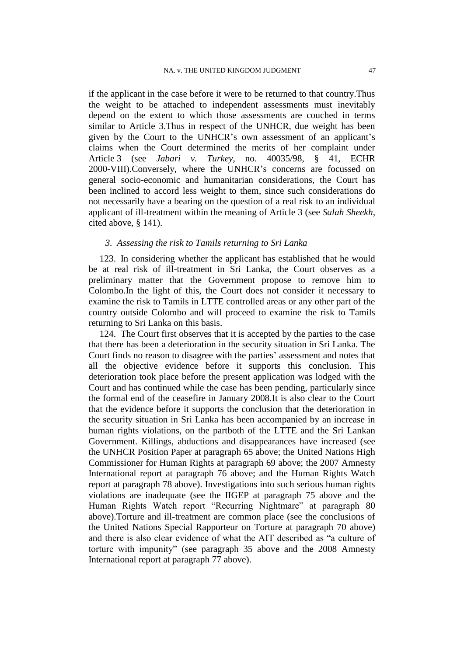if the applicant in the case before it were to be returned to that country.Thus the weight to be attached to independent assessments must inevitably depend on the extent to which those assessments are couched in terms similar to Article 3.Thus in respect of the UNHCR, due weight has been given by the Court to the UNHCR"s own assessment of an applicant"s claims when the Court determined the merits of her complaint under Article 3 (see *Jabari v. Turkey*, no. 40035/98, § 41, ECHR 2000-VIII).Conversely, where the UNHCR"s concerns are focussed on general socio-economic and humanitarian considerations, the Court has been inclined to accord less weight to them, since such considerations do not necessarily have a bearing on the question of a real risk to an individual applicant of ill-treatment within the meaning of Article 3 (see *Salah Sheekh*, cited above, § 141).

#### *3. Assessing the risk to Tamils returning to Sri Lanka*

123. In considering whether the applicant has established that he would be at real risk of ill-treatment in Sri Lanka, the Court observes as a preliminary matter that the Government propose to remove him to Colombo.In the light of this, the Court does not consider it necessary to examine the risk to Tamils in LTTE controlled areas or any other part of the country outside Colombo and will proceed to examine the risk to Tamils returning to Sri Lanka on this basis.

<span id="page-48-0"></span>124. The Court first observes that it is accepted by the parties to the case that there has been a deterioration in the security situation in Sri Lanka. The Court finds no reason to disagree with the parties' assessment and notes that all the objective evidence before it supports this conclusion. This deterioration took place before the present application was lodged with the Court and has continued while the case has been pending, particularly since the formal end of the ceasefire in January 2008.It is also clear to the Court that the evidence before it supports the conclusion that the deterioration in the security situation in Sri Lanka has been accompanied by an increase in human rights violations, on the partboth of the LTTE and the Sri Lankan Government. Killings, abductions and disappearances have increased (see the UNHCR Position Paper at paragraph [65](#page-26-0) above; the United Nations High Commissioner for Human Rights at paragraph [69](#page-28-0) above; the 2007 Amnesty International report at paragraph [76](#page-33-0) above; and the Human Rights Watch report at paragraph [78](#page-34-1) above). Investigations into such serious human rights violations are inadequate (see the IIGEP at paragraph [75](#page-33-1) above and the Human Rights Watch report "Recurring Nightmare" at paragraph [80](#page-34-2) above).Torture and ill-treatment are common place (see the conclusions of the United Nations Special Rapporteur on Torture at paragraph [70](#page-28-1) above) and there is also clear evidence of what the AIT described as "a culture of torture with impunity" (see paragraph 35 above and the 2008 Amnesty International report at paragraph [77](#page-33-2) above).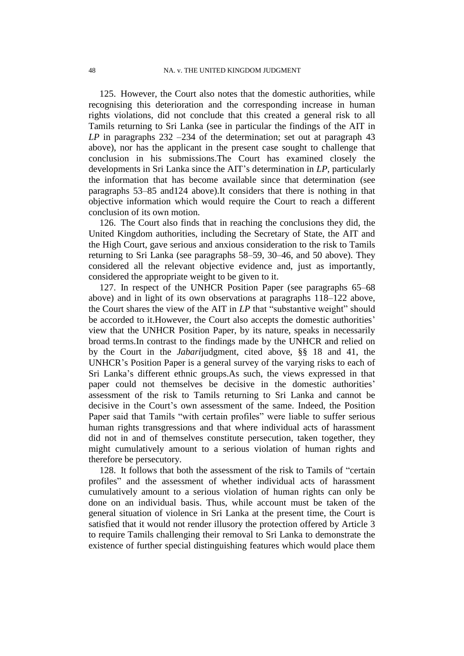125. However, the Court also notes that the domestic authorities, while recognising this deterioration and the corresponding increase in human rights violations, did not conclude that this created a general risk to all Tamils returning to Sri Lanka (see in particular the findings of the AIT in *LP* in paragraphs 232 –234 of the determination; set out at paragraph [43](#page-15-0) above), nor has the applicant in the present case sought to challenge that conclusion in his submissions.The Court has examined closely the developments in Sri Lanka since the AIT"s determination in *LP*, particularly the information that has become available since that determination (see paragraphs [53](#page-21-1)[–85](#page-36-1) an[d124](#page-48-0) above).It considers that there is nothing in that objective information which would require the Court to reach a different conclusion of its own motion.

126. The Court also finds that in reaching the conclusions they did, the United Kingdom authorities, including the Secretary of State, the AIT and the High Court, gave serious and anxious consideration to the risk to Tamils returning to Sri Lanka (see paragraphs [58–](#page-22-0)[59,](#page-23-0) [30–](#page-10-0)[46,](#page-16-0) and [50](#page-18-1) above). They considered all the relevant objective evidence and, just as importantly, considered the appropriate weight to be given to it.

127. In respect of the UNHCR Position Paper (see paragraphs [65](#page-26-0)[–68](#page-27-0) above) and in light of its own observations at paragraphs [118–](#page-46-0)[122](#page-47-0) above, the Court shares the view of the AIT in *LP* that "substantive weight" should be accorded to it. However, the Court also accepts the domestic authorities' view that the UNHCR Position Paper, by its nature, speaks in necessarily broad terms.In contrast to the findings made by the UNHCR and relied on by the Court in the *Jabari*judgment, cited above, §§ 18 and 41, the UNHCR"s Position Paper is a general survey of the varying risks to each of Sri Lanka"s different ethnic groups.As such, the views expressed in that paper could not themselves be decisive in the domestic authorities' assessment of the risk to Tamils returning to Sri Lanka and cannot be decisive in the Court's own assessment of the same. Indeed, the Position Paper said that Tamils "with certain profiles" were liable to suffer serious human rights transgressions and that where individual acts of harassment did not in and of themselves constitute persecution, taken together, they might cumulatively amount to a serious violation of human rights and therefore be persecutory.

128. It follows that both the assessment of the risk to Tamils of "certain profiles" and the assessment of whether individual acts of harassment cumulatively amount to a serious violation of human rights can only be done on an individual basis. Thus, while account must be taken of the general situation of violence in Sri Lanka at the present time, the Court is satisfied that it would not render illusory the protection offered by Article 3 to require Tamils challenging their removal to Sri Lanka to demonstrate the existence of further special distinguishing features which would place them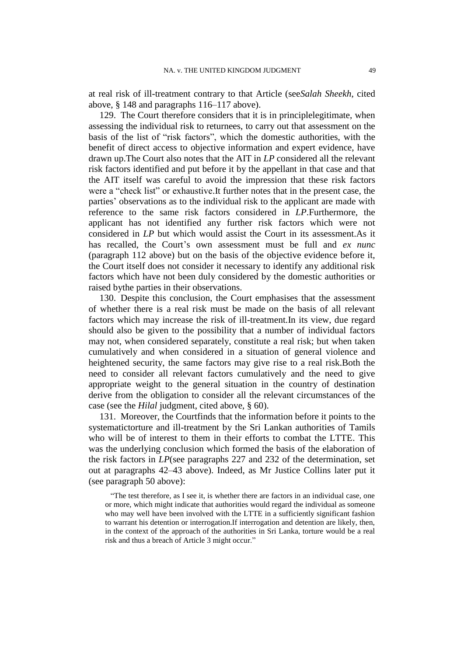at real risk of ill-treatment contrary to that Article (see*Salah Sheekh*, cited above, § 148 and paragraphs [116–](#page-46-1)[117](#page-46-2) above).

129. The Court therefore considers that it is in principlelegitimate, when assessing the individual risk to returnees, to carry out that assessment on the basis of the list of "risk factors", which the domestic authorities, with the benefit of direct access to objective information and expert evidence, have drawn up.The Court also notes that the AIT in *LP* considered all the relevant risk factors identified and put before it by the appellant in that case and that the AIT itself was careful to avoid the impression that these risk factors were a "check list" or exhaustive.It further notes that in the present case, the parties" observations as to the individual risk to the applicant are made with reference to the same risk factors considered in *LP*.Furthermore, the applicant has not identified any further risk factors which were not considered in *LP* but which would assist the Court in its assessment.As it has recalled, the Court's own assessment must be full and *ex nunc* (paragraph [112](#page-44-0) above) but on the basis of the objective evidence before it, the Court itself does not consider it necessary to identify any additional risk factors which have not been duly considered by the domestic authorities or raised bythe parties in their observations.

<span id="page-50-0"></span>130. Despite this conclusion, the Court emphasises that the assessment of whether there is a real risk must be made on the basis of all relevant factors which may increase the risk of ill-treatment.In its view, due regard should also be given to the possibility that a number of individual factors may not, when considered separately, constitute a real risk; but when taken cumulatively and when considered in a situation of general violence and heightened security, the same factors may give rise to a real risk.Both the need to consider all relevant factors cumulatively and the need to give appropriate weight to the general situation in the country of destination derive from the obligation to consider all the relevant circumstances of the case (see the *Hilal* judgment, cited above, § 60).

<span id="page-50-1"></span>131. Moreover, the Courtfinds that the information before it points to the systematictorture and ill-treatment by the Sri Lankan authorities of Tamils who will be of interest to them in their efforts to combat the LTTE. This was the underlying conclusion which formed the basis of the elaboration of the risk factors in *LP*(see paragraphs 227 and 232 of the determination, set out at paragraphs [42–](#page-14-0)[43](#page-15-0) above). Indeed, as Mr Justice Collins later put it (see paragraph [50](#page-18-1) above):

"The test therefore, as I see it, is whether there are factors in an individual case, one or more, which might indicate that authorities would regard the individual as someone who may well have been involved with the LTTE in a sufficiently significant fashion to warrant his detention or interrogation.If interrogation and detention are likely, then, in the context of the approach of the authorities in Sri Lanka, torture would be a real risk and thus a breach of Article 3 might occur."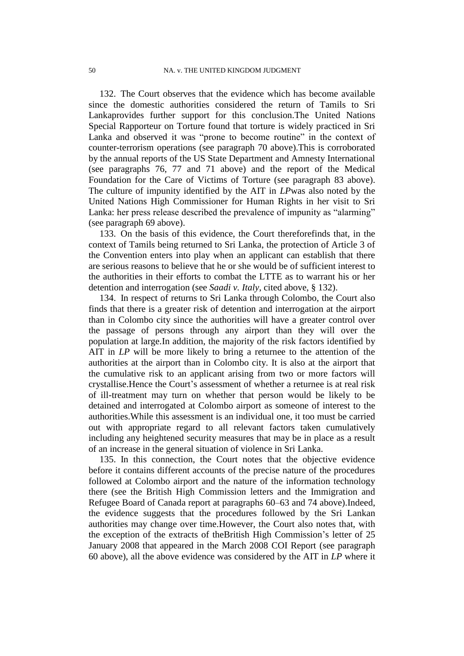132. The Court observes that the evidence which has become available since the domestic authorities considered the return of Tamils to Sri Lankaprovides further support for this conclusion.The United Nations Special Rapporteur on Torture found that torture is widely practiced in Sri Lanka and observed it was "prone to become routine" in the context of counter-terrorism operations (see paragraph [70](#page-28-1) above).This is corroborated by the annual reports of the US State Department and Amnesty International (see paragraphs [76,](#page-33-0) [77](#page-33-2) and [71](#page-29-0) above) and the report of the Medical Foundation for the Care of Victims of Torture (see paragraph [83](#page-35-0) above). The culture of impunity identified by the AIT in *LP*was also noted by the United Nations High Commissioner for Human Rights in her visit to Sri Lanka: her press release described the prevalence of impunity as "alarming" (see paragraph [69](#page-28-0) above).

<span id="page-51-0"></span>133. On the basis of this evidence, the Court thereforefinds that, in the context of Tamils being returned to Sri Lanka, the protection of Article 3 of the Convention enters into play when an applicant can establish that there are serious reasons to believe that he or she would be of sufficient interest to the authorities in their efforts to combat the LTTE as to warrant his or her detention and interrogation (see *Saadi v. Italy*, cited above, § 132).

<span id="page-51-1"></span>134. In respect of returns to Sri Lanka through Colombo, the Court also finds that there is a greater risk of detention and interrogation at the airport than in Colombo city since the authorities will have a greater control over the passage of persons through any airport than they will over the population at large.In addition, the majority of the risk factors identified by AIT in *LP* will be more likely to bring a returnee to the attention of the authorities at the airport than in Colombo city. It is also at the airport that the cumulative risk to an applicant arising from two or more factors will crystallise.Hence the Court"s assessment of whether a returnee is at real risk of ill-treatment may turn on whether that person would be likely to be detained and interrogated at Colombo airport as someone of interest to the authorities.While this assessment is an individual one, it too must be carried out with appropriate regard to all relevant factors taken cumulatively including any heightened security measures that may be in place as a result of an increase in the general situation of violence in Sri Lanka.

135. In this connection, the Court notes that the objective evidence before it contains different accounts of the precise nature of the procedures followed at Colombo airport and the nature of the information technology there (see the British High Commission letters and the Immigration and Refugee Board of Canada report at paragraphs [60–](#page-24-0)[63](#page-25-0) and [74](#page-30-0) above).Indeed, the evidence suggests that the procedures followed by the Sri Lankan authorities may change over time.However, the Court also notes that, with the exception of the extracts of theBritish High Commission's letter of 25 January 2008 that appeared in the March 2008 COI Report (see paragraph [60](#page-24-0) above), all the above evidence was considered by the AIT in *LP* where it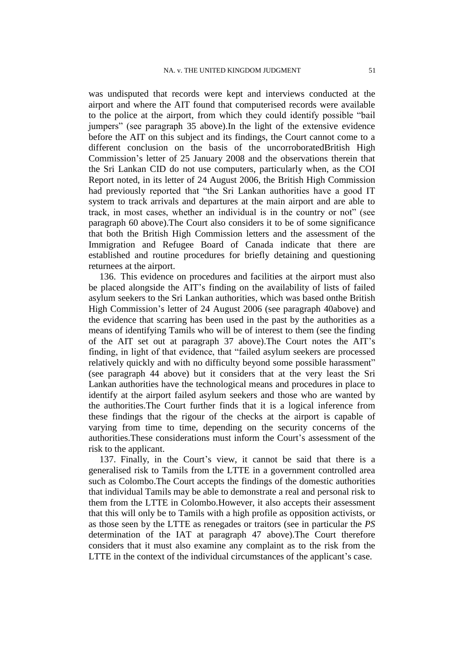was undisputed that records were kept and interviews conducted at the airport and where the AIT found that computerised records were available to the police at the airport, from which they could identify possible "bail jumpers" (see paragraph [35](#page-12-0) above).In the light of the extensive evidence before the AIT on this subject and its findings, the Court cannot come to a different conclusion on the basis of the uncorroboratedBritish High Commission"s letter of 25 January 2008 and the observations therein that the Sri Lankan CID do not use computers, particularly when, as the COI Report noted, in its letter of 24 August 2006, the British High Commission had previously reported that "the Sri Lankan authorities have a good IT system to track arrivals and departures at the main airport and are able to track, in most cases, whether an individual is in the country or not" (see paragraph [60](#page-24-0) above).The Court also considers it to be of some significance that both the British High Commission letters and the assessment of the Immigration and Refugee Board of Canada indicate that there are established and routine procedures for briefly detaining and questioning returnees at the airport.

<span id="page-52-0"></span>136. This evidence on procedures and facilities at the airport must also be placed alongside the AIT"s finding on the availability of lists of failed asylum seekers to the Sri Lankan authorities, which was based onthe British High Commission"s letter of 24 August 2006 (see paragraph [40a](#page-14-1)bove) and the evidence that scarring has been used in the past by the authorities as a means of identifying Tamils who will be of interest to them (see the finding of the AIT set out at paragraph [37](#page-13-0) above).The Court notes the AIT"s finding, in light of that evidence, that "failed asylum seekers are processed relatively quickly and with no difficulty beyond some possible harassment" (see paragraph [44](#page-15-1) above) but it considers that at the very least the Sri Lankan authorities have the technological means and procedures in place to identify at the airport failed asylum seekers and those who are wanted by the authorities.The Court further finds that it is a logical inference from these findings that the rigour of the checks at the airport is capable of varying from time to time, depending on the security concerns of the authorities.These considerations must inform the Court"s assessment of the risk to the applicant.

137. Finally, in the Court"s view, it cannot be said that there is a generalised risk to Tamils from the LTTE in a government controlled area such as Colombo.The Court accepts the findings of the domestic authorities that individual Tamils may be able to demonstrate a real and personal risk to them from the LTTE in Colombo.However, it also accepts their assessment that this will only be to Tamils with a high profile as opposition activists, or as those seen by the LTTE as renegades or traitors (see in particular the *PS* determination of the IAT at paragraph [47](#page-16-1) above).The Court therefore considers that it must also examine any complaint as to the risk from the LTTE in the context of the individual circumstances of the applicant's case.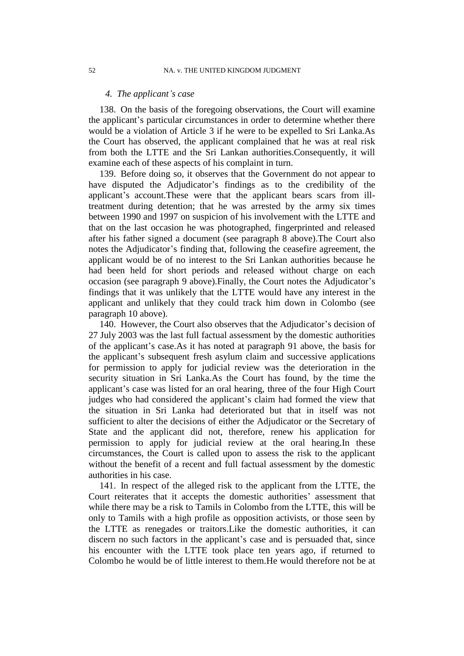#### *4. The applicant's case*

138. On the basis of the foregoing observations, the Court will examine the applicant"s particular circumstances in order to determine whether there would be a violation of Article 3 if he were to be expelled to Sri Lanka.As the Court has observed, the applicant complained that he was at real risk from both the LTTE and the Sri Lankan authorities.Consequently, it will examine each of these aspects of his complaint in turn.

139. Before doing so, it observes that the Government do not appear to have disputed the Adjudicator's findings as to the credibility of the applicant"s account.These were that the applicant bears scars from illtreatment during detention; that he was arrested by the army six times between 1990 and 1997 on suspicion of his involvement with the LTTE and that on the last occasion he was photographed, fingerprinted and released after his father signed a document (see paragraph [8](#page-3-0) above).The Court also notes the Adjudicator"s finding that, following the ceasefire agreement, the applicant would be of no interest to the Sri Lankan authorities because he had been held for short periods and released without charge on each occasion (see paragraph [9](#page-3-1) above).Finally, the Court notes the Adjudicator"s findings that it was unlikely that the LTTE would have any interest in the applicant and unlikely that they could track him down in Colombo (see paragraph [10](#page-4-0) above).

140. However, the Court also observes that the Adjudicator's decision of 27 July 2003 was the last full factual assessment by the domestic authorities of the applicant"s case.As it has noted at paragraph [91](#page-38-0) above, the basis for the applicant's subsequent fresh asylum claim and successive applications for permission to apply for judicial review was the deterioration in the security situation in Sri Lanka.As the Court has found, by the time the applicant"s case was listed for an oral hearing, three of the four High Court judges who had considered the applicant's claim had formed the view that the situation in Sri Lanka had deteriorated but that in itself was not sufficient to alter the decisions of either the Adjudicator or the Secretary of State and the applicant did not, therefore, renew his application for permission to apply for judicial review at the oral hearing.In these circumstances, the Court is called upon to assess the risk to the applicant without the benefit of a recent and full factual assessment by the domestic authorities in his case.

141. In respect of the alleged risk to the applicant from the LTTE, the Court reiterates that it accepts the domestic authorities' assessment that while there may be a risk to Tamils in Colombo from the LTTE, this will be only to Tamils with a high profile as opposition activists, or those seen by the LTTE as renegades or traitors.Like the domestic authorities, it can discern no such factors in the applicant's case and is persuaded that, since his encounter with the LTTE took place ten years ago, if returned to Colombo he would be of little interest to them.He would therefore not be at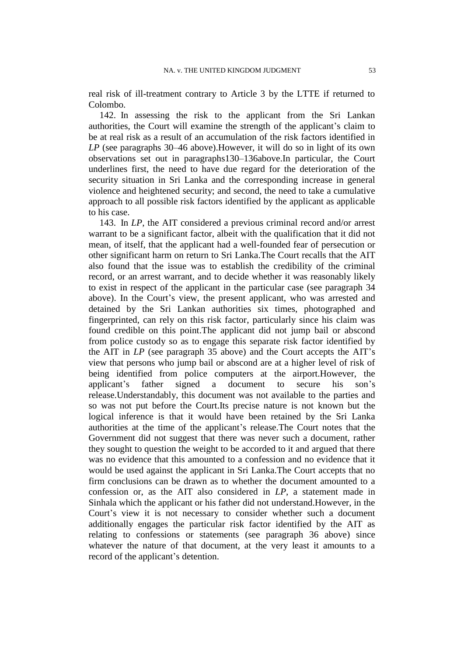real risk of ill-treatment contrary to Article 3 by the LTTE if returned to Colombo.

<span id="page-54-0"></span>142. In assessing the risk to the applicant from the Sri Lankan authorities, the Court will examine the strength of the applicant's claim to be at real risk as a result of an accumulation of the risk factors identified in *LP* (see paragraphs [30](#page-10-0)[–46](#page-16-0) above).However, it will do so in light of its own observations set out in paragraph[s130–](#page-50-0)[136a](#page-52-0)bove.In particular, the Court underlines first, the need to have due regard for the deterioration of the security situation in Sri Lanka and the corresponding increase in general violence and heightened security; and second, the need to take a cumulative approach to all possible risk factors identified by the applicant as applicable to his case.

143. In *LP*, the AIT considered a previous criminal record and/or arrest warrant to be a significant factor, albeit with the qualification that it did not mean, of itself, that the applicant had a well-founded fear of persecution or other significant harm on return to Sri Lanka.The Court recalls that the AIT also found that the issue was to establish the credibility of the criminal record, or an arrest warrant, and to decide whether it was reasonably likely to exist in respect of the applicant in the particular case (see paragraph [34](#page-12-1) above). In the Court's view, the present applicant, who was arrested and detained by the Sri Lankan authorities six times, photographed and fingerprinted, can rely on this risk factor, particularly since his claim was found credible on this point.The applicant did not jump bail or abscond from police custody so as to engage this separate risk factor identified by the AIT in *LP* (see paragraph [35](#page-12-0) above) and the Court accepts the AIT"s view that persons who jump bail or abscond are at a higher level of risk of being identified from police computers at the airport.However, the applicant"s father signed a document to secure his son"s release.Understandably, this document was not available to the parties and so was not put before the Court.Its precise nature is not known but the logical inference is that it would have been retained by the Sri Lanka authorities at the time of the applicant"s release.The Court notes that the Government did not suggest that there was never such a document, rather they sought to question the weight to be accorded to it and argued that there was no evidence that this amounted to a confession and no evidence that it would be used against the applicant in Sri Lanka.The Court accepts that no firm conclusions can be drawn as to whether the document amounted to a confession or, as the AIT also considered in *LP*, a statement made in Sinhala which the applicant or his father did not understand.However, in the Court's view it is not necessary to consider whether such a document additionally engages the particular risk factor identified by the AIT as relating to confessions or statements (see paragraph [36](#page-13-1) above) since whatever the nature of that document, at the very least it amounts to a record of the applicant's detention.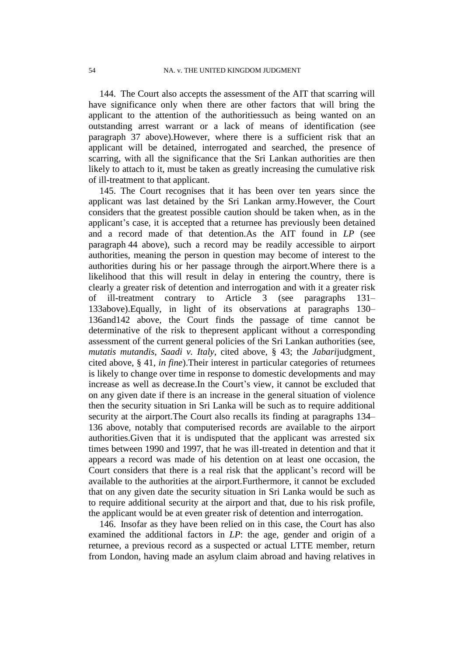144. The Court also accepts the assessment of the AIT that scarring will have significance only when there are other factors that will bring the applicant to the attention of the authoritiessuch as being wanted on an outstanding arrest warrant or a lack of means of identification (see paragraph [37](#page-13-0) above).However, where there is a sufficient risk that an applicant will be detained, interrogated and searched, the presence of scarring, with all the significance that the Sri Lankan authorities are then likely to attach to it, must be taken as greatly increasing the cumulative risk of ill-treatment to that applicant.

145. The Court recognises that it has been over ten years since the applicant was last detained by the Sri Lankan army.However, the Court considers that the greatest possible caution should be taken when, as in the applicant"s case, it is accepted that a returnee has previously been detained and a record made of that detention.As the AIT found in *LP* (see paragraph [44](#page-15-1) above), such a record may be readily accessible to airport authorities, meaning the person in question may become of interest to the authorities during his or her passage through the airport.Where there is a likelihood that this will result in delay in entering the country, there is clearly a greater risk of detention and interrogation and with it a greater risk of ill-treatment contrary to Article 3 (see paragraphs [131–](#page-50-1) [133a](#page-51-0)bove).Equally, in light of its observations at paragraphs [130–](#page-50-0) [136a](#page-52-0)n[d142](#page-54-0) above, the Court finds the passage of time cannot be determinative of the risk to thepresent applicant without a corresponding assessment of the current general policies of the Sri Lankan authorities (see, *mutatis mutandis*, *Saadi v. Italy*, cited above, § 43; the *Jabari*judgment¸ cited above, § 41, *in fine*).Their interest in particular categories of returnees is likely to change over time in response to domestic developments and may increase as well as decrease. In the Court's view, it cannot be excluded that on any given date if there is an increase in the general situation of violence then the security situation in Sri Lanka will be such as to require additional security at the airport.The Court also recalls its finding at paragraphs [134–](#page-51-1) [136](#page-52-0) above, notably that computerised records are available to the airport authorities.Given that it is undisputed that the applicant was arrested six times between 1990 and 1997, that he was ill-treated in detention and that it appears a record was made of his detention on at least one occasion, the Court considers that there is a real risk that the applicant's record will be available to the authorities at the airport.Furthermore, it cannot be excluded that on any given date the security situation in Sri Lanka would be such as to require additional security at the airport and that, due to his risk profile, the applicant would be at even greater risk of detention and interrogation.

146. Insofar as they have been relied on in this case, the Court has also examined the additional factors in *LP*: the age, gender and origin of a returnee, a previous record as a suspected or actual LTTE member, return from London, having made an asylum claim abroad and having relatives in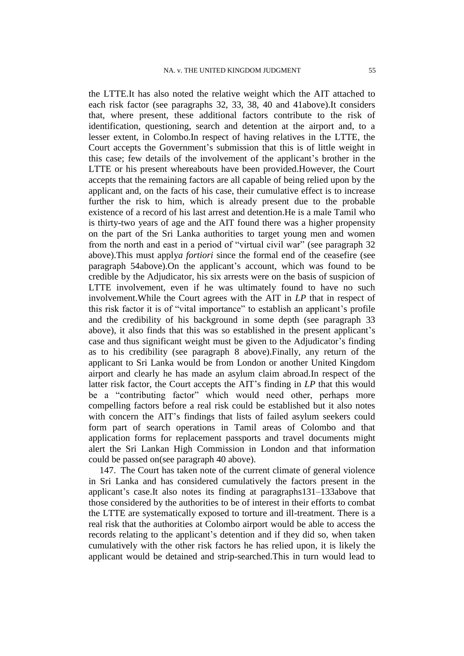the LTTE.It has also noted the relative weight which the AIT attached to each risk factor (see paragraphs [32,](#page-11-0) [33,](#page-12-2) [38,](#page-13-2) [40](#page-14-1) and [41a](#page-14-2)bove).It considers that, where present, these additional factors contribute to the risk of identification, questioning, search and detention at the airport and, to a lesser extent, in Colombo.In respect of having relatives in the LTTE, the Court accepts the Government's submission that this is of little weight in this case; few details of the involvement of the applicant"s brother in the LTTE or his present whereabouts have been provided.However, the Court accepts that the remaining factors are all capable of being relied upon by the applicant and, on the facts of his case, their cumulative effect is to increase further the risk to him, which is already present due to the probable existence of a record of his last arrest and detention.He is a male Tamil who is thirty-two years of age and the AIT found there was a higher propensity on the part of the Sri Lanka authorities to target young men and women from the north and east in a period of "virtual civil war" (see paragraph [32](#page-11-0) above).This must apply*a fortiori* since the formal end of the ceasefire (see paragraph [54a](#page-21-2)bove). On the applicant's account, which was found to be credible by the Adjudicator, his six arrests were on the basis of suspicion of LTTE involvement, even if he was ultimately found to have no such involvement.While the Court agrees with the AIT in *LP* that in respect of this risk factor it is of "vital importance" to establish an applicant"s profile and the credibility of his background in some depth (see paragraph [33](#page-12-2) above), it also finds that this was so established in the present applicant's case and thus significant weight must be given to the Adjudicator's finding as to his credibility (see paragraph [8](#page-3-0) above).Finally, any return of the applicant to Sri Lanka would be from London or another United Kingdom airport and clearly he has made an asylum claim abroad.In respect of the latter risk factor, the Court accepts the AIT"s finding in *LP* that this would be a "contributing factor" which would need other, perhaps more compelling factors before a real risk could be established but it also notes with concern the AIT"s findings that lists of failed asylum seekers could form part of search operations in Tamil areas of Colombo and that application forms for replacement passports and travel documents might alert the Sri Lankan High Commission in London and that information could be passed on(see paragraph [40](#page-14-1) above).

147. The Court has taken note of the current climate of general violence in Sri Lanka and has considered cumulatively the factors present in the applicant"s case.It also notes its finding at paragraph[s131–](#page-50-1)[133a](#page-51-0)bove that those considered by the authorities to be of interest in their efforts to combat the LTTE are systematically exposed to torture and ill-treatment. There is a real risk that the authorities at Colombo airport would be able to access the records relating to the applicant's detention and if they did so, when taken cumulatively with the other risk factors he has relied upon, it is likely the applicant would be detained and strip-searched.This in turn would lead to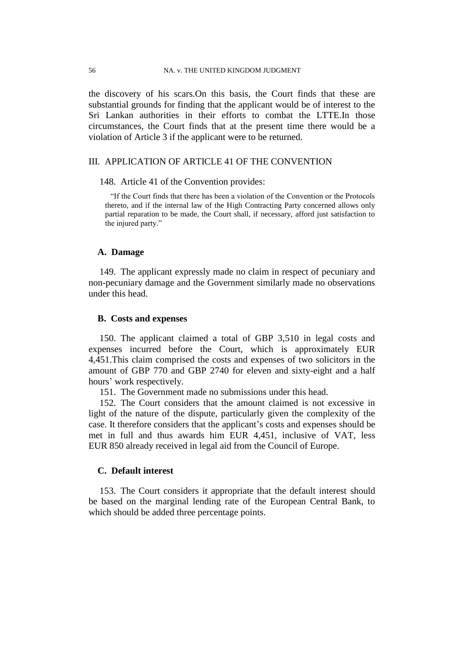#### 56 NA. v. THE UNITED KINGDOM JUDGMENT

the discovery of his scars.On this basis, the Court finds that these are substantial grounds for finding that the applicant would be of interest to the Sri Lankan authorities in their efforts to combat the LTTE.In those circumstances, the Court finds that at the present time there would be a violation of Article 3 if the applicant were to be returned.

## III. APPLICATION OF ARTICLE 41 OF THE CONVENTION

#### 148. Article 41 of the Convention provides:

"If the Court finds that there has been a violation of the Convention or the Protocols thereto, and if the internal law of the High Contracting Party concerned allows only partial reparation to be made, the Court shall, if necessary, afford just satisfaction to the injured party."

## **A. Damage**

149. The applicant expressly made no claim in respect of pecuniary and non-pecuniary damage and the Government similarly made no observations under this head.

#### **B. Costs and expenses**

150. The applicant claimed a total of GBP 3,510 in legal costs and expenses incurred before the Court, which is approximately EUR 4,451.This claim comprised the costs and expenses of two solicitors in the amount of GBP 770 and GBP 2740 for eleven and sixty-eight and a half hours" work respectively.

151. The Government made no submissions under this head.

152. The Court considers that the amount claimed is not excessive in light of the nature of the dispute, particularly given the complexity of the case. It therefore considers that the applicant"s costs and expenses should be met in full and thus awards him EUR 4,451, inclusive of VAT, less EUR 850 already received in legal aid from the Council of Europe.

## **C. Default interest**

153. The Court considers it appropriate that the default interest should be based on the marginal lending rate of the European Central Bank, to which should be added three percentage points.